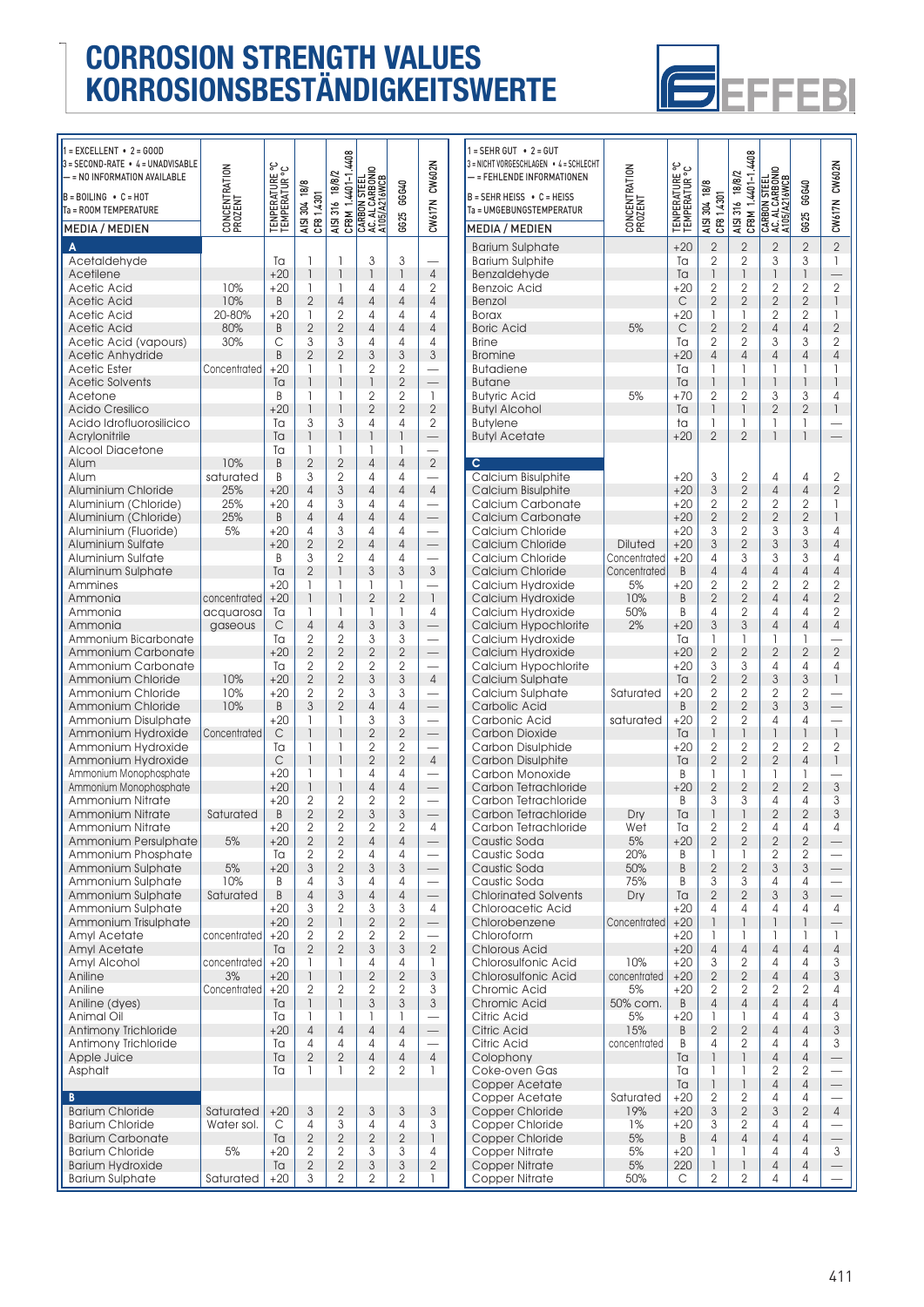

| $1 = EXCELLENT - 2 = GOD$                         |                          |                               |                                  |                                      |                                                     |                           |                           | $1 = SEHR$                     |
|---------------------------------------------------|--------------------------|-------------------------------|----------------------------------|--------------------------------------|-----------------------------------------------------|---------------------------|---------------------------|--------------------------------|
| $3 =$ SECOND-RATE $\bullet$ 4 = UNADVISABLE       |                          |                               |                                  | 4408                                 |                                                     |                           |                           | 3 = NICHT VO                   |
| – = NO INFORMATION AVAILABLE                      |                          |                               |                                  |                                      |                                                     |                           | CW602N                    | – = FEHL                       |
| $B = BOLING \cdot C = HOT$                        |                          |                               |                                  |                                      |                                                     | GGG40                     |                           | $B = SEHR$                     |
| Ta = ROOM TEMPERATURE                             |                          |                               | 304 18/8                         |                                      |                                                     |                           |                           | Ta = UMGI                      |
| <b>MEDIA / MEDIEN</b>                             | CONCENTRATION<br>PROZENT | ENPERATURE °C<br>EMPERATUR °C | AISI 304 18<br>CF8 1.4301        | AISI 316 18/8/2<br>  CF8M 1.4401-1.4 | CARBON STEEL<br>  AC. AL CARBONIO<br>  A105/A216WCB | 6625                      | CW617N                    | <b>MEDIA</b>                   |
|                                                   |                          |                               |                                  |                                      |                                                     |                           |                           |                                |
| A<br>Acetaldehyde                                 |                          | Ta                            | 1                                | 1                                    | 3                                                   | 3                         |                           | <b>Bariur</b><br><b>Bariur</b> |
| Acetilene                                         |                          | $+20$                         | $\overline{1}$                   | $\overline{1}$                       | $\mathbf{1}$                                        | $\mathbf{1}$              | $\overline{4}$            | Benzc                          |
| Acetic Acid                                       | 10%                      | $+20$                         | 1                                | 1                                    | 4                                                   | 4                         | $\overline{2}$            | Benzc                          |
| Acetic Acid                                       | 10%                      | B                             | $\overline{2}$                   | $\overline{4}$                       | $\overline{4}$                                      | 4                         | $\overline{4}$            | Benzc                          |
| Acetic Acid                                       | 20-80%                   | $+20$                         | 1                                | $\overline{2}$                       | 4                                                   | 4                         | 4                         | <b>Borax</b>                   |
| <b>Acetic Acid</b>                                | 80%                      | B                             | $\overline{2}$                   | $\overline{2}$                       | $\overline{4}$                                      | $\overline{4}$            | $\overline{4}$            | Boric.                         |
| Acetic Acid (vapours)                             | 30%                      | С                             | 3                                | 3                                    | 4                                                   | 4                         | 4                         | <b>Brine</b>                   |
| Acetic Anhydride                                  |                          | B                             | $\overline{2}$                   | $\overline{2}$                       | 3                                                   | 3                         | 3                         | <b>Bromi</b>                   |
| <b>Acetic Ester</b>                               | Concentrated             | $+20$                         | 1<br>1                           | 1<br>1                               | $\overline{2}$<br>$\mathbf{1}$                      | 2<br>$\overline{2}$       | $\equiv$                  | <b>Butad</b>                   |
| <b>Acetic Solvents</b><br>Acetone                 |                          | Ta<br>B                       | 1                                | 1                                    | $\overline{2}$                                      | $\overline{2}$            | 1                         | <b>Butan</b><br><b>Butyrid</b> |
| <b>Acido Cresilico</b>                            |                          | $+20$                         | 1                                | $\overline{1}$                       | $\overline{2}$                                      | $\overline{2}$            | $\overline{2}$            | Butyl /                        |
| Acido Idrofluorosilicico                          |                          | Ta                            | 3                                | 3                                    | $\overline{4}$                                      | 4                         | 2                         | <b>Butyle</b>                  |
| Acrylonitrile                                     |                          | Ta                            | 1                                | 1                                    | 1                                                   | $\overline{1}$            |                           | Butyl /                        |
| <b>Alcool Diacetone</b>                           |                          | Ta                            | 1                                | 1                                    | 1                                                   | 1                         |                           |                                |
| Alum                                              | 10%                      | B                             | $\overline{2}$                   | $\overline{2}$                       | $\overline{4}$                                      | $\overline{4}$            | $\overline{2}$            | c                              |
| Alum                                              | saturated                | B                             | 3                                | $\overline{2}$                       | 4                                                   | 4                         |                           | Calci                          |
| Aluminium Chloride                                | 25%                      | $+20$                         | $\overline{4}$                   | 3                                    | $\overline{4}$                                      | $\overline{4}$            | $\overline{4}$            | Calci                          |
| Aluminium (Chloride)                              | 25%                      | $+20$                         | 4                                | 3                                    | 4                                                   | 4                         |                           | Calci                          |
| Aluminium (Chloride)                              | 25%                      | B                             | $\overline{4}$                   | $\overline{4}$                       | $\overline{4}$                                      | $\overline{4}$            | $\equiv$                  | Calci                          |
| Aluminium (Fluoride)<br>Aluminium Sulfate         | 5%                       | $+20$<br>$+20$                | 4<br>$\overline{2}$              | 3<br>$\overline{2}$                  | 4<br>$\overline{4}$                                 | 4<br>4                    |                           | Calci<br>Calci                 |
| Aluminium Sulfate                                 |                          | B                             | 3                                | $\overline{2}$                       | 4                                                   | 4                         |                           | Calci                          |
| Aluminum Sulphate                                 |                          | Ta                            | $\overline{2}$                   | 1                                    | 3                                                   | 3                         | $\mathfrak{S}$            | Calci                          |
| Ammines                                           |                          | $+20$                         | 1                                | 1                                    | 1                                                   | 1                         |                           | Calci                          |
| Ammonia                                           | concentrated             | $+20$                         | $\overline{1}$                   | 1                                    | $\overline{2}$                                      | $\overline{2}$            | $\mathbf{1}$              | Calci                          |
| Ammonia                                           | acquarosa                | Ta                            | 1                                | 1                                    | 1                                                   | 1                         | 4                         | Calci                          |
| Ammonia                                           | gaseous                  | C                             | $\overline{4}$                   | $\overline{4}$                       | 3                                                   | 3                         | $\overline{\phantom{0}}$  | Calci                          |
| Ammonium Bicarbonate                              |                          | Ta                            | $\overline{2}$                   | 2                                    | 3                                                   | 3                         |                           | Calci                          |
| Ammonium Carbonate                                |                          | $+20$                         | $\overline{2}$                   | $\overline{2}$                       | $\overline{2}$                                      | $\overline{2}$            | $\overline{\phantom{0}}$  | Calciu                         |
| Ammonium Carbonate<br>Ammonium Chloride           | 10%                      | Ta<br>$+20$                   | $\overline{2}$<br>$\overline{2}$ | $\overline{2}$<br>$\overline{2}$     | $\overline{2}$<br>3                                 | 2<br>3                    | $\overline{4}$            | Calci<br>Calciu                |
| Ammonium Chloride                                 | 10%                      | $+20$                         | $\overline{2}$                   | 2                                    | 3                                                   | 3                         |                           | Calci                          |
| Ammonium Chloride                                 | 10%                      | B                             | 3                                | $\overline{2}$                       | $\overline{4}$                                      | $\overline{4}$            |                           | Carbo                          |
| Ammonium Disulphate                               |                          | $+20$                         | 1                                | 1                                    | 3                                                   | 3                         |                           | Carbo                          |
| Ammonium Hydroxide                                | Concentrated             | C                             | 1                                | 1                                    | $\overline{2}$                                      | $\overline{2}$            |                           | Carbo                          |
| Ammonium Hydroxide                                |                          | Ta                            | 1                                | 1                                    | $\overline{2}$                                      | 2                         |                           | Carbo                          |
| Ammonium Hydroxide                                |                          | C                             | $\overline{1}$                   | 1                                    | $\overline{2}$                                      | $\overline{2}$            | $\overline{4}$            | Carbo                          |
| Ammonium Monophosphate                            |                          | $+20$                         | 1                                | 1                                    | 4                                                   | 4                         |                           | Carbo                          |
| Ammonium Monophosphate<br><b>Ammonium Nitrate</b> |                          | $+20$<br>$+20$                | $\overline{1}$<br>2              | 1<br>2                               | $\overline{4}$<br>2                                 | 4<br>2                    |                           | Carbo<br>Carbo                 |
| <b>Ammonium Nitrate</b>                           | Saturated                | B                             | $\overline{2}$                   | $\overline{2}$                       | 3                                                   | 3                         | $\overline{\phantom{0}}$  | Carbo                          |
| Ammonium Nitrate                                  |                          | +20                           | 2                                | 2                                    | 2                                                   | 2                         | $\sqrt{4}$                | Carbo                          |
| Ammonium Persulphate                              | 5%                       | $+20$                         | $\overline{2}$                   | $\overline{2}$                       | $\overline{4}$                                      | 4                         |                           | Caust                          |
| Ammonium Phosphate                                |                          | Ta                            | 2                                | 2                                    | 4                                                   | 4                         |                           | Caust                          |
| Ammonium Sulphate                                 | 5%                       | $+20$                         | 3                                | $\mathbf{2}$                         | 3                                                   | 3                         |                           | Caust                          |
| Ammonium Sulphate                                 | 10%                      | B                             | 4                                | 3                                    | 4                                                   | 4                         |                           | Caust                          |
| Ammonium Sulphate                                 | Saturated                | B                             | $\overline{4}$                   | 3                                    | $\overline{4}$                                      | $\overline{4}$            | $\overline{\phantom{0}}$  | Chlori                         |
| Ammonium Sulphate                                 |                          | $+20$                         | 3<br>$\overline{2}$              | 2                                    | 3<br>$\overline{2}$                                 | 3                         | 4                         | Chlor                          |
| Ammonium Trisulphate<br>Amyl Acetate              | concentrated             | $+20$<br>+20                  | 2                                | 1<br>2                               | $\overline{2}$                                      | $\mathbf{2}$<br>2         |                           | Chlor<br>Chlor                 |
| Amyl Acetate                                      |                          | Ta                            | $\overline{2}$                   | $\overline{2}$                       | 3                                                   | 3                         | $\sqrt{2}$                | Chlor                          |
| Amyl Alcohol                                      | concentrated             | $+20$                         | 1                                | 1                                    | 4                                                   | 4                         | 1                         | Chlor                          |
| Aniline                                           | 3%                       | $+20$                         | 1                                | 1                                    | $\overline{2}$                                      | $\overline{2}$            | $\ensuremath{\mathsf{3}}$ | Chlor                          |
| Aniline                                           | Concentrated             | $+20$                         | $\overline{2}$                   | 2                                    | 2                                                   | 2                         | 3                         | Chror                          |
| Aniline (dyes)                                    |                          | Ta                            | $\overline{1}$                   | $\overline{1}$                       | 3                                                   | $\mathfrak{S}$            | $\ensuremath{\mathsf{3}}$ | Chror                          |
| Animal Oil                                        |                          | Ta                            | 1                                | 1                                    | 1                                                   | 1                         |                           | Citric                         |
| Antimony Trichloride                              |                          | $+20$                         | $\overline{4}$                   | $\overline{4}$                       | $\overline{4}$                                      | $\overline{4}$            | $\overline{\phantom{0}}$  | Citric                         |
| Antimony Trichloride                              |                          | Ta                            | 4                                | 4                                    | 4                                                   | 4                         |                           | Citric                         |
| Apple Juice                                       |                          | Ta<br>Tа                      | $\overline{2}$<br>1              | $\overline{2}$<br>1                  | $\overline{4}$<br>2                                 | $\overline{4}$            | $\overline{4}$<br>1       | Colop                          |
| Asphalt                                           |                          |                               |                                  |                                      |                                                     | 2                         |                           | Coke-<br>Copp                  |
| B                                                 |                          |                               |                                  |                                      |                                                     |                           |                           | Copp                           |
| <b>Barium Chloride</b>                            | Saturated                | $+20$                         | 3                                | $\overline{2}$                       | 3                                                   | 3                         | 3                         | Copp                           |
| <b>Barium Chloride</b>                            | Water sol.               | С                             | 4                                | 3                                    | 4                                                   | 4                         | 3                         | Copp                           |
| <b>Barium Carbonate</b>                           |                          | Ta                            | $\overline{2}$                   | $\mathbf{2}$                         | $\overline{2}$                                      | $\overline{2}$            | $\mathbf{1}$              | Copp                           |
| <b>Barium Chloride</b>                            | 5%                       | $+20$                         | $\mathbf{2}$                     | $\mathbf{2}$                         | 3                                                   | 3                         | 4                         | Copp                           |
| <b>Barium Hydroxide</b>                           |                          | Ta                            | $\mathbf{2}$                     | $\sqrt{2}$                           | $\mathfrak{Z}$                                      | $\ensuremath{\mathsf{3}}$ | $\overline{2}$            | Copp                           |

Barium Sulphate  $|\$ Saturated  $|+20|$  3  $|2|2|2|1$ 

| $1 =$ SEHR GUT $\cdot$ 2 = GUT<br>3 = NICHT VORGESCHLAGEN • 4 = SCHLECHT<br>= FEHLENDE INFORMATIONEN<br>$B = SEHR HEISS \cdot C = HEISS$                                                                                                                                                                | CONCENTRATION<br>PROZENT                              | <b>TENPERATURE °C</b><br>TEMPERATUR °C                                                                            | AISI 304 18/8                                                                                                                                                                   | 4408<br>AISI 316 18/8/2<br>CF8M 1.4401-1.4                                                                                                                                                   | CARBON STEEL<br>  AC. AL CARBONIO<br>  A105/A216WCB                                                                                                                                                                 | GGG40                                                                                                                                    | CW617N CW602N                                                                                                                                                                                    |
|---------------------------------------------------------------------------------------------------------------------------------------------------------------------------------------------------------------------------------------------------------------------------------------------------------|-------------------------------------------------------|-------------------------------------------------------------------------------------------------------------------|---------------------------------------------------------------------------------------------------------------------------------------------------------------------------------|----------------------------------------------------------------------------------------------------------------------------------------------------------------------------------------------|---------------------------------------------------------------------------------------------------------------------------------------------------------------------------------------------------------------------|------------------------------------------------------------------------------------------------------------------------------------------|--------------------------------------------------------------------------------------------------------------------------------------------------------------------------------------------------|
| Ta = UMGEBUNGSTEMPERATUR                                                                                                                                                                                                                                                                                |                                                       |                                                                                                                   | CF81.4301                                                                                                                                                                       |                                                                                                                                                                                              |                                                                                                                                                                                                                     |                                                                                                                                          |                                                                                                                                                                                                  |
| MEDIA / MEDIEN                                                                                                                                                                                                                                                                                          |                                                       |                                                                                                                   |                                                                                                                                                                                 |                                                                                                                                                                                              |                                                                                                                                                                                                                     | 6625                                                                                                                                     |                                                                                                                                                                                                  |
| <b>Barium Sulphate</b><br><b>Barium Sulphite</b><br>Benzaldehyde<br><b>Benzoic Acid</b><br>Benzol<br><b>Borax</b><br><b>Boric Acid</b><br><b>Brine</b><br><b>Bromine</b><br><b>Butadiene</b><br><b>Butane</b><br><b>Butyric Acid</b><br><b>Butyl Alcohol</b><br><b>Butylene</b><br><b>Butyl Acetate</b> | 5%<br>5%                                              | $+20$<br>Ta<br>Ta<br>$+20$<br>C<br>$+20$<br>$\mathsf{C}$<br>Ta<br>$+20$<br>Ta<br>Ta<br>$+70$<br>Ta<br>ta<br>$+20$ | $\overline{2}$<br>2<br>$\overline{1}$<br>$\overline{2}$<br>$\overline{2}$<br>1<br>$\overline{2}$<br>2<br>4<br>1<br>$\overline{1}$<br>$\overline{2}$<br>1<br>1<br>$\overline{2}$ | $\overline{2}$<br>$\overline{2}$<br>$\overline{1}$<br>$\overline{2}$<br>$\overline{2}$<br>1<br>$\overline{2}$<br>2<br>$\overline{4}$<br>1<br>1<br>$\overline{2}$<br>1<br>1<br>$\overline{2}$ | $\overline{2}$<br>3<br>$\overline{1}$<br>$\overline{2}$<br>$\overline{2}$<br>$\overline{2}$<br>$\overline{4}$<br>3<br>$\overline{4}$<br>1<br>$\begin{array}{c} \hline \end{array}$<br>3<br>$\overline{2}$<br>1<br>1 | $\overline{2}$<br>3<br>1<br>2<br>$\overline{2}$<br>2<br>4<br>3<br>4<br>1<br>$\overline{1}$<br>3<br>$\overline{2}$<br>1<br>$\overline{1}$ | $\overline{2}$<br>$\mathbf{I}$<br>$\overline{2}$<br>$\overline{1}$<br>1<br>$\overline{2}$<br>2<br>4<br>1<br>1<br>4<br>$\overline{1}$                                                             |
|                                                                                                                                                                                                                                                                                                         |                                                       |                                                                                                                   |                                                                                                                                                                                 |                                                                                                                                                                                              |                                                                                                                                                                                                                     |                                                                                                                                          |                                                                                                                                                                                                  |
| с<br>Calcium Bisulphite<br>Calcium Bisulphite<br>Calcium Carbonate<br>Calcium Carbonate<br>Calcium Chloride<br><b>Calcium Chloride</b><br>Calcium Chloride<br>Calcium Chloride<br>Calcium Hydroxide                                                                                                     | <b>Diluted</b><br>Concentrated<br>Concentrated<br>5%  | +20<br>$+20$<br>$+20$<br>$+20$<br>$+20$<br>$+20$<br>$+20$<br>B<br>$+20$                                           | 3<br>3<br>2<br>$\overline{2}$<br>3<br>3<br>4<br>$\overline{4}$<br>2                                                                                                             | 2<br>$\overline{2}$<br>2<br>$\overline{2}$<br>$\overline{c}$<br>$\overline{2}$<br>3<br>$\overline{4}$<br>$\overline{2}$                                                                      | 4<br>$\overline{4}$<br>2<br>$\overline{2}$<br>3<br>3<br>3<br>4<br>$\overline{2}$                                                                                                                                    | 4<br>$\overline{4}$<br>2<br>$\overline{2}$<br>3<br>3<br>3<br>4<br>2                                                                      | $\overline{2}$<br>$\overline{2}$<br>1<br>$\overline{1}$<br>4<br>$\overline{4}$<br>4<br>$\overline{4}$<br>$\overline{2}$                                                                          |
| Calcium Hydroxide<br>Calcium Hydroxide<br>Calcium Hypochlorite<br>Calcium Hydroxide<br>Calcium Hydroxide<br>Calcium Hypochlorite<br>Calcium Sulphate                                                                                                                                                    | 10%<br>50%<br>2%                                      | B<br>B<br>$+20$<br>Ta<br>$+20$<br>$+20$<br>Ta                                                                     | $\overline{2}$<br>4<br>3<br>1<br>$\overline{2}$<br>3<br>$\overline{2}$                                                                                                          | $\overline{2}$<br>$\overline{2}$<br>3<br>1<br>$\overline{2}$<br>3<br>$\overline{2}$                                                                                                          | 4<br>4<br>$\overline{4}$<br>1<br>$\overline{2}$<br>4<br>3                                                                                                                                                           | 4<br>4<br>4<br>1<br>$\overline{2}$<br>4<br>3                                                                                             | $\overline{2}$<br>$\overline{2}$<br>$\overline{4}$<br>$\overline{2}$<br>4<br>$\begin{array}{c} \hline \end{array}$                                                                               |
| Calcium Sulphate<br>Carbolic Acid<br>Carbonic Acid<br><b>Carbon Dioxide</b><br>Carbon Disulphide<br>Carbon Disulphite<br>Carbon Monoxide<br>Carbon Tetrachloride                                                                                                                                        | Saturated<br>saturated                                | $+20$<br>B<br>$+20$<br>Ta<br>$+20$<br>Ta<br>B<br>$+20$                                                            | $\overline{2}$<br>$\overline{2}$<br>$\overline{2}$<br>1<br>$\overline{2}$<br>$\overline{2}$<br>1<br>$\overline{2}$                                                              | 2<br>$\overline{2}$<br>$\overline{2}$<br>$\overline{1}$<br>2<br>$\overline{2}$<br>1<br>$\overline{2}$                                                                                        | $\overline{2}$<br>3<br>4<br>$\overline{1}$<br>2<br>$\overline{2}$<br>1<br>$\overline{2}$                                                                                                                            | $\overline{2}$<br>3<br>4<br>$\overline{1}$<br>$\overline{2}$<br>$\overline{4}$<br>1<br>$\overline{2}$                                    | $\overline{1}$<br>$\overline{c}$<br>$\overline{1}$<br>3                                                                                                                                          |
| Carbon Tetrachloride<br>Carbon Tetrachloride<br>Carbon letrachloride<br>Caustic Soda<br>Caustic Soda<br>Caustic Soda<br>Caustic Soda<br><b>Chlorinated Solvents</b>                                                                                                                                     | Dry<br>Wet<br>5%<br>20%<br>50%<br>75%<br>Dry          | B<br>Ta<br>la<br>+20<br>Β<br>B<br>B<br>Ta                                                                         | 3<br>1<br>2<br>$\overline{2}$<br>1<br>$\overline{2}$<br>3<br>$\mathbf{2}$                                                                                                       | 3<br>$\overline{1}$<br>2<br>$\overline{2}$<br>1<br>$\overline{2}$<br>3<br>$\overline{2}$                                                                                                     | 4<br>$\overline{2}$<br>4<br>$\overline{2}$<br>2<br>$\mathfrak{S}$<br>4<br>$\mathfrak{S}$                                                                                                                            | 4<br>$\overline{2}$<br>4<br>2<br>2<br>3<br>4<br>3                                                                                        | 3<br>3<br>4                                                                                                                                                                                      |
| Chloroacetic Acid<br>Chlorobenzene<br>Chloroform<br><b>Chlorous Acid</b><br>Chlorosulfonic Acid<br><b>Chlorosulfonic Acid</b><br>Chromic Acid<br>Chromic Acid                                                                                                                                           | Concentrated<br>10%<br>concentrated<br>5%<br>50% com. | $+20$<br>$+20$<br>$+20$<br>$+20$<br>$+20$<br>$+20$<br>$+20$<br>B                                                  | 4<br>1<br>1<br>$\overline{4}$<br>3<br>$\overline{2}$<br>2<br>$\overline{4}$                                                                                                     | 4<br>$\begin{array}{c} \hline \end{array}$<br>1<br>$\overline{4}$<br>2<br>$\overline{2}$<br>$\mathbf 2$<br>$\overline{4}$                                                                    | 4<br>$\begin{array}{c} \hline \end{array}$<br>1<br>$\overline{4}$<br>4<br>$\overline{4}$<br>$\overline{2}$<br>$\overline{4}$                                                                                        | 4<br>1<br>1<br>$\overline{4}$<br>4<br>$\overline{4}$<br>$\mathbf{2}$<br>$\overline{4}$                                                   | 4<br>$\overline{\phantom{0}}$<br>1<br>$\overline{4}$<br>3<br>3<br>4<br>4                                                                                                                         |
| Citric Acid<br>Citric Acid<br>Citric Acid<br>Colophony<br>Coke-oven Gas<br>Copper Acetate<br>Copper Acetate                                                                                                                                                                                             | 5%<br>15%<br>concentrated<br>Saturated                | $+20$<br>B<br>Β<br>Ta<br>Ta<br>Ta<br>$+20$                                                                        | 1<br>$\overline{2}$<br>4<br>1<br>1<br>$\mathsf{I}$<br>2                                                                                                                         | 1<br>$\overline{2}$<br>$\overline{2}$<br>1<br>1<br>1<br>2                                                                                                                                    | 4<br>$\overline{4}$<br>4<br>$\overline{4}$<br>2<br>$\overline{4}$<br>4                                                                                                                                              | 4<br>$\overline{4}$<br>4<br>$\overline{4}$<br>2<br>$\overline{4}$<br>4                                                                   | 3<br>$\mathfrak{S}% _{A}^{\ast}=\mathfrak{S}_{A}\!\left( \mathfrak{S}_{A}\right) ,\mathfrak{S}_{B}^{\ast}% =\mathfrak{S}_{A}\!\left( \mathfrak{S}_{A}\right) ,$<br>3<br>$\overline{\phantom{0}}$ |
| Copper Chloride<br>Copper Chloride<br>Copper Chloride<br>Copper Nitrate<br><b>Copper Nitrate</b><br>Copper Nitrate                                                                                                                                                                                      | 19%<br>1%<br>5%<br>5%<br>5%<br>50%                    | $+20$<br>$+20$<br>B<br>$+20$<br>220<br>С                                                                          | 3<br>3<br>4<br>1<br>1<br>$\overline{2}$                                                                                                                                         | $\overline{2}$<br>2<br>$\overline{4}$<br>1<br>1<br>$\overline{2}$                                                                                                                            | 3<br>4<br>$\overline{4}$<br>4<br>$\sqrt{4}$<br>4                                                                                                                                                                    | $\overline{2}$<br>4<br>$\overline{4}$<br>4<br>$\overline{4}$<br>4                                                                        | $\overline{4}$<br>L,<br>3                                                                                                                                                                        |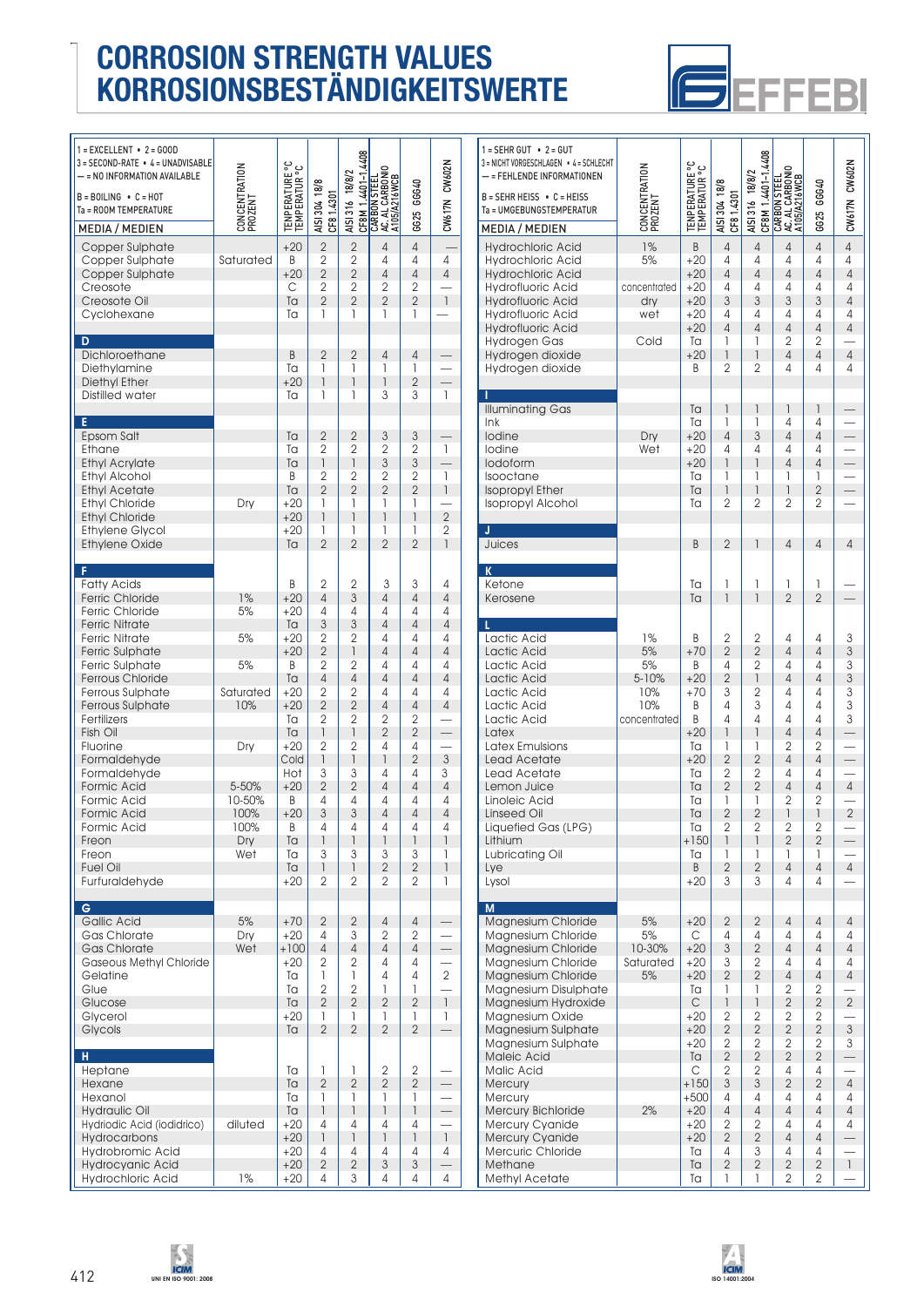

| $1 = EXCELLENT - 2 = GOD$<br>3 = SECOND-RATE • 4 = UNADVISABLE<br>— = NO INFORMATION AVAILABLE<br>$B = BOLING \cdot C = HOT$<br>Ta = ROOM TEMPERATURE<br><b>MEDIA / MEDIEN</b>                                                                                                                                                                                                                                                          | CONCENTRATION<br>PROZENT                                                                         | <b>TENPERATURE °C</b><br>TEMPERATUR °C                                                                                                                              | AISI 304 18/8<br>CF81.4301                                                                                                                                                                                                           | CF8M 1.4401-1.4408<br>AISI 316 18/8/2                                                                                                                                                                                                                       | CARBON STEEL<br>  AC. AL CARBONIO<br>  A105/A216WCB                                                                                                                                                        | GG25 GGG40                                                                                                                                                                                                                                                     | CW617N CW602N                                                                                                                                                                                                           |  |
|-----------------------------------------------------------------------------------------------------------------------------------------------------------------------------------------------------------------------------------------------------------------------------------------------------------------------------------------------------------------------------------------------------------------------------------------|--------------------------------------------------------------------------------------------------|---------------------------------------------------------------------------------------------------------------------------------------------------------------------|--------------------------------------------------------------------------------------------------------------------------------------------------------------------------------------------------------------------------------------|-------------------------------------------------------------------------------------------------------------------------------------------------------------------------------------------------------------------------------------------------------------|------------------------------------------------------------------------------------------------------------------------------------------------------------------------------------------------------------|----------------------------------------------------------------------------------------------------------------------------------------------------------------------------------------------------------------------------------------------------------------|-------------------------------------------------------------------------------------------------------------------------------------------------------------------------------------------------------------------------|--|
| Copper Sulphate<br>Copper Sulphate<br>Copper Sulphate<br>Creosote<br>Creosote Oil<br>Cyclohexane                                                                                                                                                                                                                                                                                                                                        | Saturated                                                                                        | $+20$<br>B<br>$+20$<br>С<br>Ta<br>Tа                                                                                                                                | $\overline{2}$<br>$\overline{2}$<br>$\overline{2}$<br>2<br>$\overline{2}$<br>1                                                                                                                                                       | $\overline{2}$<br>$\overline{2}$<br>$\overline{2}$<br>$\overline{2}$<br>$\overline{2}$<br>1                                                                                                                                                                 | 4<br>4<br>4<br>2<br>$\overline{2}$<br>1                                                                                                                                                                    | $\overline{4}$<br>4<br>$\overline{4}$<br>$\overline{2}$<br>$\overline{2}$<br>1                                                                                                                                                                                 | 4<br>4<br>$\overline{1}$                                                                                                                                                                                                |  |
| D<br>Dichloroethane<br>Diethylamine<br>Diethyl Ether<br>Distilled water                                                                                                                                                                                                                                                                                                                                                                 |                                                                                                  | B<br>Ta<br>$+20$<br>Ta                                                                                                                                              | $\overline{2}$<br>1<br>1<br>1                                                                                                                                                                                                        | $\overline{2}$<br>1<br>1<br>1                                                                                                                                                                                                                               | $\overline{4}$<br>1<br>1<br>3                                                                                                                                                                              | $\overline{4}$<br>1<br>$\overline{2}$<br>3                                                                                                                                                                                                                     | $\overline{1}$                                                                                                                                                                                                          |  |
| E<br>Epsom Salt<br>Ethane<br><b>Ethyl Acrylate</b><br>Ethyl Alcohol<br><b>Ethyl Acetate</b><br><b>Ethyl Chloride</b><br><b>Ethyl Chloride</b><br><b>Ethylene Glycol</b><br>Ethylene Oxide                                                                                                                                                                                                                                               | Dry                                                                                              | Ta<br>Tа<br>Ta<br>B<br>Ta<br>$+20$<br>$+20$<br>$+20$<br>Ta                                                                                                          | $\overline{2}$<br>$\overline{2}$<br>1<br>2<br>$\overline{2}$<br>1<br>1<br>1<br>$\overline{2}$                                                                                                                                        | $\overline{2}$<br>$\overline{2}$<br>1<br>$\overline{2}$<br>$\overline{2}$<br>1<br>1<br>1<br>$\overline{2}$                                                                                                                                                  | 3<br>$\overline{2}$<br>3<br>$\overline{2}$<br>$\overline{2}$<br>1<br>1<br>1<br>$\overline{2}$                                                                                                              | 3<br>$\overline{2}$<br>3<br>$\overline{2}$<br>$\overline{2}$<br>1<br>$\overline{1}$<br>1<br>$\overline{2}$                                                                                                                                                     | $\overline{1}$<br>$\overline{\phantom{0}}$<br>l<br>$\overline{1}$<br>$\overline{2}$<br>2<br>$\overline{1}$                                                                                                              |  |
| F<br><b>Fatty Acids</b><br><b>Ferric Chloride</b><br>Ferric Chloride<br><b>Ferric Nitrate</b><br><b>Ferric Nitrate</b><br>Ferric Sulphate<br>Ferric Sulphate<br><b>Ferrous Chloride</b><br>Ferrous Sulphate<br>Ferrous Sulphate<br>Fertilizers<br>Fish Oil<br>Fluorine<br>Formaldehyde<br>Formaldehyde<br><b>Formic Acid</b><br>Formic Acid<br><b>Formic Acid</b><br>Formic Acid<br>Freon<br>Freon<br><b>Fuel Oil</b><br>Furfuraldehyde | 1%<br>5%<br>5%<br>5%<br>Saturated<br>10%<br>Dry<br>5-50%<br>10-50%<br>100%<br>100%<br>Dry<br>Wet | B<br>$+20$<br>$+20$<br>Ta<br>$+20$<br>$+20$<br>B<br>Ta<br>$+20$<br>$+20$<br>Ta<br>Ta<br>$+20$<br>Cold<br>Hot<br>$+20$<br>B<br>$+20$<br>B<br>Ta<br>Ta<br>Ta<br>$+20$ | 2<br>$\overline{4}$<br>4<br>3<br>2<br>$\overline{2}$<br>2<br>$\overline{4}$<br>2<br>$\overline{2}$<br>$\overline{2}$<br>1<br>$\overline{2}$<br>1<br>3<br>$\overline{2}$<br>4<br>3<br>4<br>$\overline{1}$<br>3<br>$\overline{1}$<br>2 | 2<br>3<br>4<br>3<br>$\overline{2}$<br>1<br>2<br>$\overline{4}$<br>$\overline{2}$<br>$\overline{2}$<br>$\overline{2}$<br>1<br>$\overline{2}$<br>$\begin{array}{c} \hline \end{array}$<br>3<br>$\overline{2}$<br>4<br>3<br>4<br>1<br>3<br>$\overline{1}$<br>2 | 3<br>4<br>4<br>$\overline{4}$<br>4<br>4<br>4<br>4<br>4<br>$\overline{4}$<br>$\overline{2}$<br>$\overline{2}$<br>4<br>1<br>4<br>$\overline{4}$<br>4<br>4<br>4<br>$\overline{1}$<br>3<br>$\overline{2}$<br>2 | 3<br>$\overline{4}$<br>4<br>$\overline{4}$<br>4<br>$\overline{4}$<br>4<br>$\overline{4}$<br>4<br>$\overline{4}$<br>2<br>$\overline{2}$<br>4<br>$\overline{2}$<br>4<br>$\overline{4}$<br>4<br>4<br>$\overline{4}$<br>$\overline{1}$<br>3<br>$\overline{2}$<br>2 | 4<br>$\overline{4}$<br>4<br>$\overline{4}$<br>4<br>4<br>4<br>4<br>4<br>$\overline{4}$<br>$\overline{\phantom{0}}$<br>$\mathfrak{Z}$<br>3<br>$\overline{4}$<br>4<br>4<br>4<br>$\overline{1}$<br>1<br>$\overline{1}$<br>1 |  |
| G<br><b>Gallic Acid</b><br>Gas Chlorate<br>Gas Chlorate<br>Gaseous Methyl Chloride<br>Gelatine<br>Glue<br>Glucose<br>Glycerol<br>Glycols                                                                                                                                                                                                                                                                                                | 5%<br>Dry<br>Wet                                                                                 | $+70$<br>$+20$<br>$+100$<br>$+20$<br>Ta<br>Ta<br>Ta<br>$+20$<br>Ta                                                                                                  | $\overline{2}$<br>4<br>$\sqrt{4}$<br>2<br>1<br>$\overline{2}$<br>$\overline{2}$<br>1<br>$\overline{2}$                                                                                                                               | $\mathbf{2}$<br>3<br>$\sqrt{4}$<br>$\overline{2}$<br>1<br>$\overline{2}$<br>$\overline{2}$<br>1<br>$\overline{2}$                                                                                                                                           | $\sqrt{4}$<br>2<br>$\overline{4}$<br>4<br>4<br>1<br>$\overline{2}$<br>T<br>$\overline{2}$                                                                                                                  | $\sqrt{4}$<br>2<br>$\overline{4}$<br>4<br>4<br>1<br>$\overline{2}$<br>T<br>$\overline{2}$                                                                                                                                                                      | $\equiv$<br>$\sqrt{2}$<br>$\mathbf{I}$<br>1                                                                                                                                                                             |  |
| H<br>Heptane<br>Hexane<br>Hexanol<br><b>Hydraulic Oil</b><br>Hydriodic Acid (iodidrico)<br>Hydrocarbons<br>Hydrobromic Acid<br><b>Hydrocyanic Acid</b>                                                                                                                                                                                                                                                                                  | diluted                                                                                          | Ta<br>Ta<br>Ta<br>Тa<br>$+20$<br>$+20$<br>$+20$<br>$+20$                                                                                                            | 1<br>$\overline{2}$<br>1<br>1<br>4<br>$\overline{1}$<br>4<br>$\overline{2}$                                                                                                                                                          | 1<br>$\overline{2}$<br>1<br>$\overline{1}$<br>4<br>$\mathsf{I}$<br>4<br>$\overline{2}$                                                                                                                                                                      | 2<br>$\overline{2}$<br>1<br>$\overline{1}$<br>4<br>$\overline{1}$<br>4<br>3                                                                                                                                | 2<br>$\overline{2}$<br>1<br>$\mathsf{I}$<br>4<br>$\mathsf{I}$<br>4<br>$\mathfrak{S}$                                                                                                                                                                           | $\overline{\phantom{0}}$<br>$\mathbb{I}$<br>4                                                                                                                                                                           |  |

Hydrochloric Acid | 1% |+20 | 4 | 3 | 4 | 4 | 4

| $1 =$ SEHR GUT $\bullet$ 2 = GUT<br>3 = NICHT VORGESCHLAGEN • 4 = SCHLECHT<br>- = FEHLENDE INFORMATIONEN<br>$B = SEHR HEISS \cdot C = HEISS$<br>Ta = UMGEBUNGSTEMPERATUR<br><b>MEDIA / MEDIEN</b>                                                                                                                                                          | CONCENTRATION<br>PROZENT                              | <b>TENPERATURE °C</b><br>TEMPERATUR °C                                                                                                           | AISI 304 18/8<br>CF81.4301                                                                                                                                                                                    | CF8M 1.4401-1.4408<br>AISI 316 18/8/2                                                                                                                                                                                                                            | CARBON STEEL<br>AC. AL CARBONIO<br>A105/A216WCB                                                                                                                                                                               | 06640<br>6625                                                                                                                                   | CW617N CW602N                                                                                                             |
|------------------------------------------------------------------------------------------------------------------------------------------------------------------------------------------------------------------------------------------------------------------------------------------------------------------------------------------------------------|-------------------------------------------------------|--------------------------------------------------------------------------------------------------------------------------------------------------|---------------------------------------------------------------------------------------------------------------------------------------------------------------------------------------------------------------|------------------------------------------------------------------------------------------------------------------------------------------------------------------------------------------------------------------------------------------------------------------|-------------------------------------------------------------------------------------------------------------------------------------------------------------------------------------------------------------------------------|-------------------------------------------------------------------------------------------------------------------------------------------------|---------------------------------------------------------------------------------------------------------------------------|
| <b>Hydrochloric Acid</b><br><b>Hydrochloric Acid</b><br><b>Hydrochloric Acid</b><br><b>Hydrofluoric Acid</b><br><b>Hydrofluoric Acid</b><br>Hydrofluoric Acid<br><b>Hydrofluoric Acid</b><br>Hydrogen Gas<br>Hydrogen dioxide<br>Hydrogen dioxide                                                                                                          | 1%<br>5%<br>concentrated<br>dry<br>wet<br>Cold        | B<br>$+20$<br>$+20$<br>$+20$<br>$+20$<br>$+20$<br>$+20$<br>Ta<br>$+20$<br>B                                                                      | $\overline{4}$<br>4<br>$\overline{4}$<br>4<br>3<br>4<br>$\overline{4}$<br>1<br>1<br>$\overline{2}$                                                                                                            | 4<br>4<br>$\overline{4}$<br>4<br>3<br>4<br>4<br>1<br>1<br>2                                                                                                                                                                                                      | $\overline{4}$<br>4<br>$\overline{4}$<br>4<br>3<br>4<br>$\overline{4}$<br>$\overline{2}$<br>4<br>4                                                                                                                            | 4<br>4<br>4<br>4<br>3<br>4<br>4<br>$\overline{2}$<br>4<br>4                                                                                     | $\overline{4}$<br>4<br>$\overline{4}$<br>4<br>$\overline{4}$<br>4<br>$\overline{4}$<br>$\overline{4}$<br>4                |
| Illuminating Gas<br>ln k<br>lodine<br>lodine<br>lodoform<br>Isooctane<br><b>Isopropyl Ether</b><br><b>Isopropyl Alcohol</b>                                                                                                                                                                                                                                | Dry<br>Wet                                            | Ta<br>Ta<br>$+20$<br>$+20$<br>$+20$<br>Ta<br>Ta<br>Ta                                                                                            | 1<br>1<br>$\overline{4}$<br>4<br>1<br>1<br>1<br>$\overline{2}$                                                                                                                                                | 1<br>1<br>3<br>4<br>1<br>1<br>1<br>$\overline{2}$                                                                                                                                                                                                                | 1<br>4<br>$\overline{4}$<br>4<br>$\overline{4}$<br>1<br>1<br>$\overline{2}$                                                                                                                                                   | 1<br>4<br>4<br>4<br>4<br>1<br>$\overline{2}$<br>2                                                                                               | $\frac{-}{-}$                                                                                                             |
| J<br>Juices                                                                                                                                                                                                                                                                                                                                                |                                                       | B                                                                                                                                                | $\overline{2}$                                                                                                                                                                                                | 1                                                                                                                                                                                                                                                                | $\overline{4}$                                                                                                                                                                                                                | 4                                                                                                                                               | 4                                                                                                                         |
| K<br>Ketone<br>Kerosene                                                                                                                                                                                                                                                                                                                                    |                                                       | Ta<br>Ta                                                                                                                                         | 1<br>1                                                                                                                                                                                                        | 1<br>1                                                                                                                                                                                                                                                           | 1<br>$\overline{2}$                                                                                                                                                                                                           | 1<br>$\overline{2}$                                                                                                                             |                                                                                                                           |
| L<br>Lactic Acid<br>Lactic Acid<br>Lactic Acid<br>Lactic Acid<br>Lactic Acid<br>Lactic Acid<br>Lactic Acid<br>Latex<br>Latex Emulsions<br>Lead Acetate<br>Lead Acetate<br>Lemon Juice<br>Linoleic Acid<br><b>Linseed Oil</b><br>Liquefied Gas (LPG)<br>Lithium<br>Lubricating Oil<br>Lye<br>Lysol                                                          | 1%<br>5%<br>5%<br>5-10%<br>10%<br>10%<br>concentrated | Β<br>$+70$<br>B<br>$+20$<br>$+70$<br>Β<br>B<br>$+20$<br>Ta<br>$+20$<br>Ta<br>Ta<br>Ta<br>Ta<br>Tа<br>$+150$<br>Ta<br>B<br>$+20$                  | 2<br>$\overline{2}$<br>4<br>$\overline{2}$<br>3<br>4<br>4<br>1<br>1<br>$\overline{2}$<br>2<br>$\overline{2}$<br>1<br>$\overline{2}$<br>$\overline{2}$<br>1<br>1<br>$\mathbf{2}$<br>3                          | 2<br>$\overline{2}$<br>$\overline{2}$<br>$\overline{1}$<br>$\overline{2}$<br>3<br>4<br>1<br>1<br>$\overline{2}$<br>2<br>$\overline{2}$<br>1<br>$\overline{2}$<br>2<br>1<br>1<br>$\overline{2}$<br>3                                                              | 4<br>$\overline{4}$<br>4<br>$\overline{4}$<br>4<br>4<br>4<br>$\overline{4}$<br>$\overline{2}$<br>$\overline{4}$<br>4<br>$\overline{4}$<br>$\overline{2}$<br>1<br>$\overline{2}$<br>$\overline{2}$<br>1<br>$\overline{4}$<br>4 | 4<br>4<br>4<br>4<br>4<br>4<br>4<br>4<br>2<br>4<br>4<br>4<br>$\overline{2}$<br>1<br>$\overline{2}$<br>$\overline{2}$<br>1<br>$\overline{4}$<br>4 | 3<br>3<br>3<br>3<br>3<br>3<br>3<br>$\overline{4}$<br>$\overline{2}$<br>$\overline{4}$                                     |
| M<br>Magnesium Chloride<br>Magnesium Chloride<br>Magnesium Chloride<br>Magnesium Chloride<br>Magnesium Chloride<br>Magnesium Disulphate<br>Magnesium Hydroxide<br>Magnesium Oxide<br>Magnesium Sulphate<br>Magnesium Sulphate<br>Maleic Acid<br>Malic Acid<br><b>Mercury</b><br>Mercury<br>Mercury Bichloride<br>Mercury Cyanide<br><b>Mercury Cyanide</b> | 5%<br>5%<br>10-30%<br>Saturated<br>5%<br>2%           | $+20$<br>С<br>$+20$<br>$+20$<br>$+20$<br>Ta<br>$\mathsf{C}$<br>$+20$<br>$+20$<br>$+20$<br>Ta<br>C<br>$+150$<br>$+500$<br>$+20$<br>$+20$<br>$+20$ | $\overline{2}$<br>4<br>3<br>3<br>$\overline{2}$<br>1<br>$\begin{array}{c} \hline \end{array}$<br>2<br>$\overline{2}$<br>$\mathbf 2$<br>$\overline{2}$<br>2<br>3<br>4<br>$\overline{4}$<br>2<br>$\overline{2}$ | $\mathbf{2}$<br>4<br>$\overline{2}$<br>2<br>$\overline{2}$<br>1<br>$\begin{array}{c} \hline \end{array}$<br>2<br>$\overline{2}$<br>$\overline{2}$<br>$\overline{2}$<br>$\overline{2}$<br>$\ensuremath{\mathsf{3}}$<br>4<br>$\overline{4}$<br>2<br>$\overline{2}$ | 4<br>4<br>$\overline{4}$<br>4<br>4<br>$\overline{2}$<br>$\overline{2}$<br>2<br>$\overline{2}$<br>$\overline{2}$<br>$\overline{2}$<br>4<br>$\overline{2}$<br>4<br>$\overline{4}$<br>4<br>$\overline{4}$                        | 4<br>4<br>4<br>4<br>4<br>2<br>$\overline{2}$<br>2<br>$\overline{2}$<br>2<br>$\overline{2}$<br>4<br>$\overline{2}$<br>4<br>4<br>4<br>4           | 4<br>4<br>$\overline{4}$<br>4<br>$\overline{4}$<br>$\overline{2}$<br>3<br>3<br>$\overline{4}$<br>4<br>$\overline{4}$<br>4 |
| Mercuric Chloride<br>Methane<br>Methyl Acetate                                                                                                                                                                                                                                                                                                             |                                                       | Ta<br>Ta<br>Ta                                                                                                                                   | 4<br>$\mathbf{2}$<br>1                                                                                                                                                                                        | 3<br>$\overline{2}$<br>1                                                                                                                                                                                                                                         | 4<br>$\overline{2}$<br>2                                                                                                                                                                                                      | 4<br>$\overline{2}$<br>2                                                                                                                        | $\mathbf{1}$                                                                                                              |



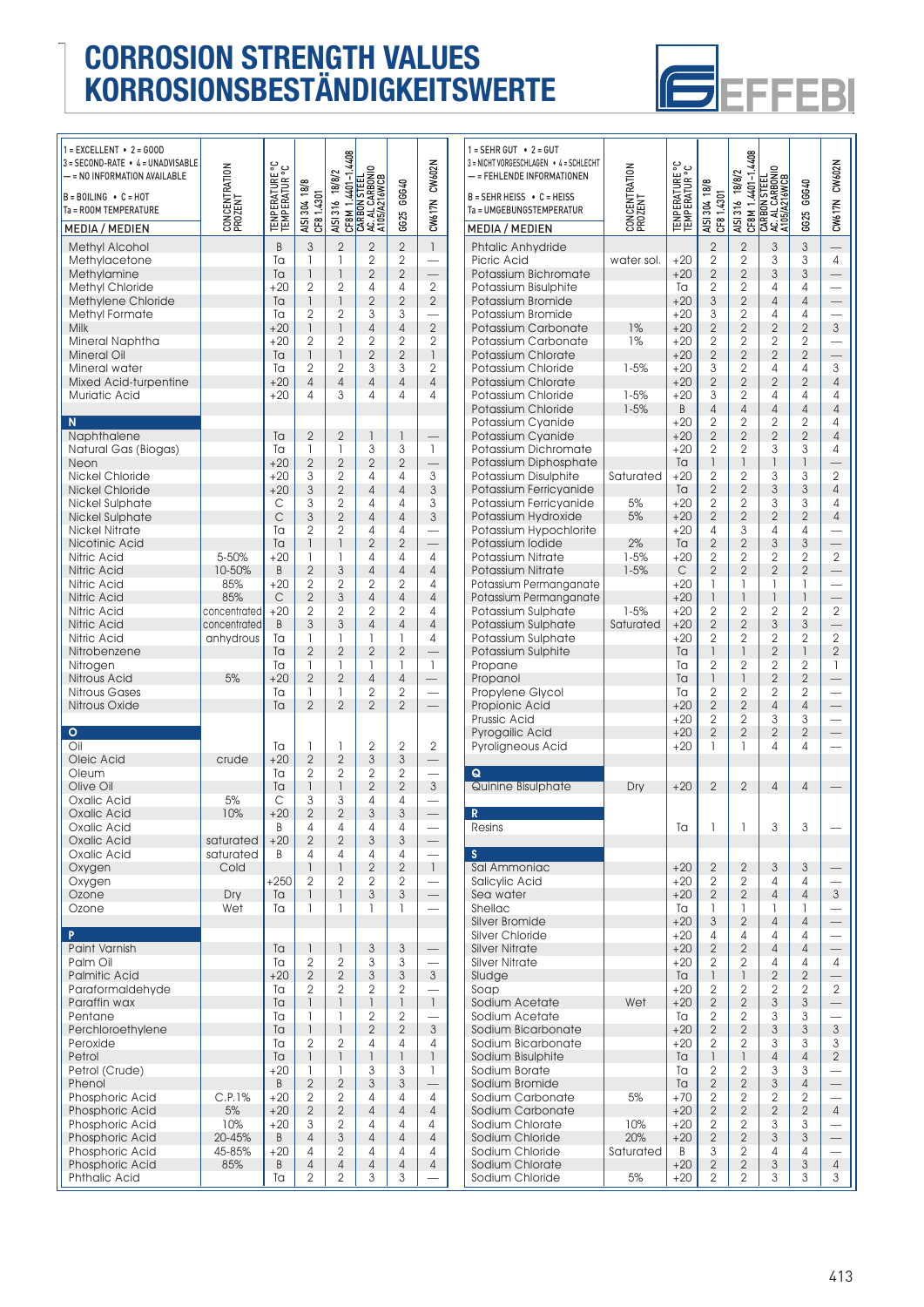

| $1 = EXCELLENT - 2 = GOD$<br>3 = SECOND-RATE • 4 = UNADVISABLE |                          |                                        |                                            |                                            |                                                   |                                  |                                  |  |
|----------------------------------------------------------------|--------------------------|----------------------------------------|--------------------------------------------|--------------------------------------------|---------------------------------------------------|----------------------------------|----------------------------------|--|
| - = NO INFORMATION AVAILABLE                                   | CONCENTRATION<br>PROZENT | <b>TENPERATURE °C</b><br>TEMPERATUR °C |                                            | CF8M 1.4401-1.4408<br>AISI 316 18/8/2      | CARBON STEEL<br>AC. AL CARBONIO<br>  A105/A216WCB |                                  | CW617N CW602N                    |  |
| $B = BOLING \cdot C = HOT$<br>Ta = ROOM TEMPERATURE            |                          |                                        | AISI 304 18/8<br>CF8 1.4301                |                                            |                                                   | GG25 GGG40                       |                                  |  |
| <b>MEDIA / MEDIEN</b>                                          |                          |                                        |                                            |                                            |                                                   |                                  |                                  |  |
| <b>Methyl Alcohol</b>                                          |                          | B                                      | 3                                          | $\overline{2}$                             | $\overline{2}$                                    | $\overline{2}$                   | $\overline{1}$                   |  |
| Methylacetone<br>Methylamine                                   |                          | Ta<br>Ta                               | 1<br>$\mathsf{I}$                          | 1<br>$\begin{array}{c} \hline \end{array}$ | $\overline{2}$<br>$\overline{2}$                  | $\overline{2}$<br>$\mathbf{2}$   |                                  |  |
| Methyl Chloride                                                |                          | $+20$                                  | $\overline{2}$                             | $\overline{2}$                             | 4                                                 | 4                                | $\overline{2}$                   |  |
| Methylene Chloride                                             |                          | Ta                                     | $\overline{\phantom{a}}$                   | $\begin{array}{c} \hline \end{array}$      | $\overline{2}$                                    | $\overline{2}$                   | $\mathbf{2}$                     |  |
| Methyl Formate                                                 |                          | Ta                                     | $\overline{2}$                             | 2                                          | 3                                                 | 3                                |                                  |  |
| Milk<br>Mineral Naphtha                                        |                          | $+20$<br>$+20$                         | $\overline{\phantom{a}}$<br>$\overline{2}$ | $\overline{1}$<br>2                        | $\overline{4}$<br>2                               | $\overline{4}$<br>$\overline{2}$ | $\overline{2}$<br>$\overline{2}$ |  |
| <b>Mineral Oil</b>                                             |                          | Ta                                     | 1                                          | $\overline{1}$                             | $\overline{2}$                                    | $\overline{2}$                   | 1                                |  |
| Mineral water                                                  |                          | Ta                                     | 2                                          | 2                                          | 3                                                 | 3                                | 2                                |  |
| Mixed Acid-turpentine                                          |                          | $+20$                                  | 4                                          | $\overline{4}$                             | $\overline{4}$                                    | $\overline{4}$                   | $\overline{4}$                   |  |
| Muriatic Acid                                                  |                          | $+20$                                  | 4                                          | 3                                          | 4                                                 | 4                                | 4                                |  |
| N                                                              |                          |                                        |                                            |                                            |                                                   |                                  |                                  |  |
| Naphthalene<br>Natural Gas (Biogas)                            |                          | Ta<br>Ta                               | $\overline{2}$<br>1                        | $\overline{2}$<br>1                        | 1<br>3                                            | 1<br>3                           | 1                                |  |
| Neon                                                           |                          | $+20$                                  | $\overline{2}$                             | $\overline{2}$                             | $\overline{2}$                                    | $\overline{2}$                   | $\overline{\phantom{0}}$         |  |
| Nickel Chloride                                                |                          | $+20$                                  | 3                                          | 2                                          | 4                                                 | 4                                | $\mathfrak{S}$                   |  |
| <b>Nickel Chloride</b>                                         |                          | $+20$                                  | $\mathfrak{Z}$                             | $\overline{2}$                             | $\overline{4}$                                    | $\overline{4}$                   | $\sqrt{3}$                       |  |
| Nickel Sulphate                                                |                          | С<br>$\mathsf{C}$                      | 3<br>3                                     | 2<br>$\overline{2}$                        | 4<br>$\overline{4}$                               | 4<br>$\overline{4}$              | 3<br>3                           |  |
| Nickel Sulphate<br><b>Nickel Nitrate</b>                       |                          | Ta                                     | $\overline{2}$                             | $\overline{2}$                             | 4                                                 | 4                                |                                  |  |
| Nicotinic Acid                                                 |                          | Ta                                     | 1                                          | $\overline{\phantom{a}}$                   | $\overline{2}$                                    | $\overline{2}$                   |                                  |  |
| Nitric Acid                                                    | 5-50%                    | $+20$                                  | 1                                          | 1                                          | 4                                                 | 4                                | 4                                |  |
| Nitric Acid                                                    | 10-50%                   | B                                      | $\overline{2}$<br>$\overline{2}$           | $\sqrt{3}$<br>$\overline{2}$               | $\overline{4}$                                    | $\overline{4}$                   | $\overline{4}$<br>4              |  |
| Nitric Acid<br>Nitric Acid                                     | 85%<br>85%               | $+20$<br>C                             | $\overline{2}$                             | 3                                          | $\overline{2}$<br>$\overline{4}$                  | $\overline{2}$<br>$\overline{4}$ | $\overline{4}$                   |  |
| Nitric Acid                                                    | concentrated             | $+20$                                  | $\overline{2}$                             | $\overline{2}$                             | 2                                                 | $\overline{2}$                   | 4                                |  |
| Nitric Acid                                                    | concentrated             | B                                      | 3                                          | 3                                          | $\overline{4}$                                    | $\overline{4}$                   | $\overline{4}$                   |  |
| Nitric Acid                                                    | anhydrous                | Ta                                     | 1<br>$\overline{2}$                        | 1<br>$\overline{2}$                        | 1<br>$\overline{2}$                               | 1<br>$\overline{2}$              | $\overline{4}$                   |  |
| Nitrobenzene<br>Nitrogen                                       |                          | Ta<br>Ta                               | 1                                          | 1                                          | 1                                                 | 1                                | $\mathsf{I}$                     |  |
| <b>Nitrous Acid</b>                                            | 5%                       | $+20$                                  | $\overline{2}$                             | $\overline{2}$                             | 4                                                 | $\overline{4}$                   |                                  |  |
| Nitrous Gases                                                  |                          | Ta                                     | 1                                          | 1                                          | $\mathbf{2}$                                      | 2                                |                                  |  |
| Nitrous Oxide                                                  |                          | Ta                                     | $\overline{2}$                             | $\overline{2}$                             | $\overline{2}$                                    | $\overline{2}$                   |                                  |  |
| $\circ$                                                        |                          |                                        |                                            |                                            |                                                   |                                  |                                  |  |
| Oil                                                            |                          | Ta<br>$+20$                            | 1<br>$\overline{2}$                        | 1                                          | 2<br>3                                            | 2<br>3                           | $\overline{2}$                   |  |
| Oleic Acid<br>Oleum                                            | crude                    | Ta                                     | 2                                          | $\overline{2}$<br>2                        | 2                                                 | 2                                |                                  |  |
| Olive Oil                                                      |                          | Ta                                     | 1                                          | $\overline{\phantom{a}}$                   | $\overline{2}$                                    | $\overline{2}$                   | $\ensuremath{\mathsf{3}}$        |  |
| Oxalic Acid                                                    | 5%                       | C                                      | 3                                          | 3                                          | 4                                                 | 4                                |                                  |  |
| Oxalic Acid                                                    | 10%                      | $+20$                                  | $\overline{2}$                             | $\overline{2}$                             | 3                                                 | 3                                | $\overline{\phantom{0}}$         |  |
| Oxalic Acid<br>Oxalic Acid                                     | saturated                | B<br>$+20$                             | 4<br>$\overline{2}$                        | 4<br>$\overline{2}$                        | 4<br>3                                            | 4<br>$\ensuremath{\mathsf{3}}$   |                                  |  |
| Oxalic Acid                                                    | saturated                | B                                      | 4                                          | 4                                          | 4                                                 | 4                                |                                  |  |
| Oxygen                                                         | Cold                     |                                        | $\mathsf{I}$                               | 1                                          | $\overline{2}$                                    | $\overline{2}$                   | $\mathbf{1}$                     |  |
| Oxygen                                                         |                          | $+250$                                 | $\overline{2}$<br>1                        | $\overline{2}$<br>1                        | 2<br>3                                            | 2<br>3                           |                                  |  |
| Ozone<br>Ozone                                                 | Dry<br>Wet               | Ta<br>Ta                               | 1                                          | $\mathbf{1}$                               | 1                                                 | 1                                |                                  |  |
|                                                                |                          |                                        |                                            |                                            |                                                   |                                  |                                  |  |
| P<br>Paint Varnish                                             |                          | Ta                                     | $\mathsf{I}$                               | 1                                          | $\ensuremath{\mathsf{3}}$                         | $\ensuremath{\mathsf{3}}$        |                                  |  |
| Palm Oil                                                       |                          | Ta                                     | $\overline{2}$                             | 2                                          | 3                                                 | 3                                |                                  |  |
| <b>Palmitic Acid</b>                                           |                          | $+20$                                  | $\mathbf{2}$                               | $\overline{2}$                             | 3                                                 | $\sqrt{3}$                       | $\ensuremath{\mathsf{3}}$        |  |
| Paraformaldehyde<br>Paraffin wax                               |                          | Ta<br>Ta                               | 2<br>$\overline{1}$                        | $\mathbf{2}$<br>$\overline{1}$             | 2<br>$\mathsf{I}$                                 | $\overline{2}$<br>1              | $\overline{1}$                   |  |
| Pentane                                                        |                          | Ta                                     | 1                                          | 1                                          | 2                                                 | 2                                |                                  |  |
| Perchloroethylene                                              |                          | Ta                                     | $\begin{array}{c} \hline \end{array}$      | $\begin{array}{c} \hline \end{array}$      | $\overline{2}$                                    | $\overline{2}$                   | 3                                |  |
| Peroxide                                                       |                          | Ta                                     | $\overline{2}$                             | $\overline{2}$                             | 4                                                 | 4                                | 4                                |  |
| Petrol                                                         |                          | Ta<br>$+20$                            | 1<br>1                                     | 1<br>1                                     | 1<br>3                                            | 1<br>3                           | 1<br>1                           |  |
| Petrol (Crude)<br>Phenol                                       |                          | B                                      | $\overline{c}$                             | $\overline{2}$                             | 3                                                 | $\mathfrak{S}$                   |                                  |  |
| Phosphoric Acid                                                | C.P.1%                   | $+20$                                  | 2                                          | 2                                          | 4                                                 | 4                                | 4                                |  |
| Phosphoric Acid                                                | 5%                       | $+20$                                  | $\mathbf{2}$                               | $\overline{2}$                             | 4                                                 | $\overline{4}$                   | $\overline{4}$                   |  |
| Phosphoric Acid                                                | 10%<br>20-45%            | $+20$<br>B                             | 3<br>$\overline{4}$                        | 2<br>3                                     | 4<br>$\overline{4}$                               | 4<br>$\overline{4}$              | 4<br>$\overline{4}$              |  |
| Phosphoric Acid<br>Phosphoric Acid                             | 45-85%                   | $+20$                                  | 4                                          | 2                                          | 4                                                 | 4                                | 4                                |  |
| Phosphoric Acid                                                | 85%                      | B                                      | $\overline{4}$                             | 4                                          | 4                                                 | $\overline{4}$                   | $\overline{4}$                   |  |
| Phthalic Acid                                                  |                          | Ta                                     | 2                                          | 2                                          | 3                                                 | 3                                |                                  |  |

| $1 =$ SEHR GUT $\bullet$ 2 = GUT<br>3 = NICHT VORGESCHLAGEN • 4 = SCHLECHT<br>- = FEHLENDE INFORMATIONEN<br>$B = S E H R H E I S S \cdot C = H E I S S$<br>Ta = UMGEBUNGSTEMPERATUR | CONCENTRATION<br>PROZENT | ENPERATURE °C<br>EMPERATUR °C | AISI 304 18/8<br>CF81.4301       | CF8M 1.4401-1.4408<br>AISI 316 18/8/2 | CARBON STEEL<br>AC. AL CARBONIO<br>A105/A216WCB | GGG40<br>6625                         | CW617N CW602N                              |
|-------------------------------------------------------------------------------------------------------------------------------------------------------------------------------------|--------------------------|-------------------------------|----------------------------------|---------------------------------------|-------------------------------------------------|---------------------------------------|--------------------------------------------|
| <b>MEDIA / MEDIEN</b>                                                                                                                                                               |                          |                               |                                  |                                       |                                                 |                                       |                                            |
| Phtalic Anhydride                                                                                                                                                                   |                          |                               | $\overline{2}$                   | $\overline{2}$                        | 3                                               | 3                                     |                                            |
| Picric Acid                                                                                                                                                                         | water sol.               | $+20$                         | $\overline{2}$                   | $\overline{2}$                        | 3                                               | 3                                     | $\overline{4}$                             |
| Potassium Bichromate                                                                                                                                                                |                          | $+20$<br>Ta                   | $\overline{2}$<br>$\overline{2}$ | $\overline{2}$<br>2                   | 3<br>4                                          | 3<br>4                                |                                            |
| Potassium Bisulphite<br>Potassium Bromide                                                                                                                                           |                          | $+20$                         | $\mathfrak{Z}$                   | $\overline{2}$                        | $\overline{4}$                                  | $\overline{4}$                        | $\equiv$                                   |
| Potassium Bromide                                                                                                                                                                   |                          | $+20$                         | 3                                | $\overline{2}$                        | 4                                               | 4                                     |                                            |
| Potassium Carbonate                                                                                                                                                                 | 1%                       | $+20$                         | $\overline{2}$                   | $\overline{2}$                        | $\overline{2}$                                  | $\overline{2}$                        | $\mathfrak{S}$                             |
| Potassium Carbonate                                                                                                                                                                 | 1%                       | $+20$                         | 2                                | 2                                     | $\overline{2}$                                  | 2                                     |                                            |
| Potassium Chlorate                                                                                                                                                                  |                          | $+20$                         | $\overline{2}$                   | $\overline{2}$                        | $\overline{2}$                                  | $\overline{2}$                        |                                            |
| Potassium Chloride                                                                                                                                                                  | $1 - 5%$                 | $+20$                         | 3<br>$\overline{2}$              | 2<br>$\overline{2}$                   | 4<br>$\overline{2}$                             | 4<br>$\overline{2}$                   | 3<br>4                                     |
| Potassium Chlorate<br>Potassium Chloride                                                                                                                                            | $1 - 5%$                 | $+20$<br>$+20$                | 3                                | $\overline{2}$                        | 4                                               | 4                                     | 4                                          |
| Potassium Chloride                                                                                                                                                                  | $1 - 5%$                 | B                             | $\overline{4}$                   | $\overline{4}$                        | $\overline{4}$                                  | $\overline{4}$                        | $\overline{4}$                             |
| Potassium Cyanide                                                                                                                                                                   |                          | $+20$                         | 2                                | $\overline{2}$                        | 2                                               | 2                                     | $\overline{4}$                             |
| Potassium Cyanide                                                                                                                                                                   |                          | $+20$                         | $\overline{2}$                   | $\overline{2}$                        | $\overline{2}$                                  | $\overline{2}$                        | $\overline{4}$                             |
| Potassium Dichromate                                                                                                                                                                |                          | $+20$                         | $\overline{2}$                   | $\overline{2}$                        | 3                                               | 3                                     | 4                                          |
| Potassium Diphosphate                                                                                                                                                               |                          | Ta                            | $\overline{\phantom{a}}$         | 1<br>$\overline{2}$                   | $\begin{array}{c} \hline \end{array}$<br>3      | $\overline{1}$<br>3                   | $\overline{2}$                             |
| Potassium Disulphite<br>Potassium Ferricyanide                                                                                                                                      | Saturated                | $+20$<br>Ta                   | $\overline{2}$<br>$\overline{2}$ | $\overline{2}$                        | 3                                               | 3                                     | $\overline{4}$                             |
| Potassium Ferricyanide                                                                                                                                                              | 5%                       | $+20$                         | $\overline{2}$                   | $\overline{2}$                        | 3                                               | 3                                     | 4                                          |
| Potassium Hydroxide                                                                                                                                                                 | 5%                       | $+20$                         | $\overline{2}$                   | $\overline{2}$                        | $\overline{2}$                                  | $\overline{2}$                        | 4                                          |
| Potassium Hypochlorite                                                                                                                                                              |                          | $+20$                         | 4                                | 3                                     | 4                                               | 4                                     |                                            |
| Potassium lodide                                                                                                                                                                    | 2%                       | Ta                            | $\overline{2}$                   | $\overline{2}$                        | 3                                               | 3                                     | $\overline{\phantom{0}}$                   |
| Potassium Nitrate                                                                                                                                                                   | $1 - 5%$<br>$1 - 5%$     | $+20$<br>C                    | $\overline{2}$<br>$\overline{2}$ | 2<br>$\overline{2}$                   | 2<br>$\overline{2}$                             | $\mathbf{2}$<br>$\overline{2}$        | $\overline{2}$                             |
| Potassium Nitrate<br>Potassium Permanganate                                                                                                                                         |                          | $+20$                         | 1                                | 1                                     | 1                                               | 1                                     | $\overline{\phantom{0}}$                   |
| Potassium Permanganate                                                                                                                                                              |                          | $+20$                         | $\overline{1}$                   | 1                                     | $\overline{1}$                                  | $\begin{array}{c} \hline \end{array}$ |                                            |
| Potassium Sulphate                                                                                                                                                                  | $1 - 5%$                 | $+20$                         | $\overline{2}$                   | $\overline{2}$                        | 2                                               | 2                                     | $\overline{2}$                             |
| Potassium Sulphate                                                                                                                                                                  | Saturated                | $+20$                         | $\overline{2}$                   | $\overline{2}$                        | 3                                               | 3                                     |                                            |
| Potassium Sulphate                                                                                                                                                                  |                          | $+20$                         | $\overline{2}$                   | $\overline{2}$                        | 2                                               | $\overline{2}$                        | $\overline{2}$                             |
| Potassium Sulphite                                                                                                                                                                  |                          | Ta                            | $\overline{1}$                   | 1                                     | $\overline{2}$                                  | 1                                     | $\overline{2}$                             |
| Propane<br>Propanol                                                                                                                                                                 |                          | Ta<br>Ta                      | 2<br>$\mathsf{I}$                | $\overline{2}$<br>1                   | 2<br>$\overline{2}$                             | 2<br>$\overline{2}$                   | 1<br>$\overline{\phantom{0}}$              |
| Propylene Glycol                                                                                                                                                                    |                          | Ta                            | $\overline{2}$                   | 2                                     | $\overline{2}$                                  | $\overline{2}$                        |                                            |
| Propionic Acid                                                                                                                                                                      |                          | $+20$                         | $\overline{2}$                   | $\overline{2}$                        | $\overline{4}$                                  | $\overline{4}$                        | $\equiv$                                   |
| Prussic Acid                                                                                                                                                                        |                          | $+20$                         | $\overline{2}$                   | $\overline{2}$                        | 3                                               | 3                                     |                                            |
| Pyrogailic Acid                                                                                                                                                                     |                          | $+20$                         | $\overline{2}$                   | $\overline{2}$                        | $\overline{2}$                                  | $\overline{2}$                        |                                            |
| Pyroligneous Acid                                                                                                                                                                   |                          | $+20$                         | 1                                | 1                                     | 4                                               | 4                                     |                                            |
| Q                                                                                                                                                                                   |                          |                               |                                  |                                       |                                                 |                                       |                                            |
| Quinine Bisulphate                                                                                                                                                                  | Dry                      | $+20$                         | $\overline{2}$                   | $\overline{2}$                        | $\overline{4}$                                  | 4                                     |                                            |
|                                                                                                                                                                                     |                          |                               |                                  |                                       |                                                 |                                       |                                            |
| $\overline{\mathsf{R}}$<br>Resins                                                                                                                                                   |                          | Ta                            | 1                                | l                                     | 3                                               | 3                                     |                                            |
|                                                                                                                                                                                     |                          |                               |                                  |                                       |                                                 |                                       |                                            |
| S                                                                                                                                                                                   |                          |                               |                                  |                                       |                                                 |                                       |                                            |
| Sal Ammoniac                                                                                                                                                                        |                          | $+20$                         | $\mathbf{2}$                     | $\overline{2}$                        | 3                                               | 3                                     |                                            |
| Salicylic Acid<br>Sea water                                                                                                                                                         |                          | $+20$<br>$+20$                | 2<br>$\overline{2}$              | $\overline{2}$<br>$\overline{2}$      | 4<br>$\overline{4}$                             | 4<br>$\overline{4}$                   | $\mathfrak{S}$                             |
| Shellac                                                                                                                                                                             |                          | Ta                            | 1                                | 1                                     | 1                                               | 1                                     |                                            |
| <b>Silver Bromide</b>                                                                                                                                                               |                          | $+20$                         | 3                                | $\overline{2}$                        | $\overline{4}$                                  | $\overline{4}$                        |                                            |
| <b>Silver Chloride</b>                                                                                                                                                              |                          | $+20$                         | 4                                | 4                                     | 4                                               | 4                                     |                                            |
| <b>Silver Nitrate</b>                                                                                                                                                               |                          | $+20$                         | $\overline{2}$                   | $\overline{2}$                        | $\overline{4}$                                  | $\overline{4}$                        | $\overline{\phantom{0}}$                   |
| <b>Silver Nitrate</b>                                                                                                                                                               |                          | $+20$                         | 2                                | 2                                     | 4                                               | 4                                     | 4                                          |
| Sludae<br>Soap                                                                                                                                                                      |                          | Ta<br>$+20$                   | $\mathbf{1}$<br>2                | $\mathsf{I}$<br>2                     | $\overline{2}$<br>2                             | $\overline{2}$<br>2                   | $\overline{\phantom{0}}$<br>$\overline{2}$ |
| Sodium Acetate                                                                                                                                                                      | Wet                      | $+20$                         | $\overline{2}$                   | $\overline{2}$                        | 3                                               | 3                                     | $\equiv$                                   |
| Sodium Acetate                                                                                                                                                                      |                          | Ta                            | 2                                | $\overline{2}$                        | 3                                               | 3                                     |                                            |
| Sodium Bicarbonate                                                                                                                                                                  |                          | $+20$                         | $\overline{2}$                   | $\overline{2}$                        | 3                                               | 3                                     | 3                                          |
| Sodium Bicarbonate                                                                                                                                                                  |                          | $+20$                         | 2                                | 2                                     | 3                                               | 3                                     | 3                                          |
| Sodium Bisulphite                                                                                                                                                                   |                          | Ta                            | $\mathsf{I}$                     | $\overline{1}$                        | $\overline{4}$                                  | $\overline{4}$                        | $\overline{2}$                             |
| Sodium Borate                                                                                                                                                                       |                          | Ta                            | $\overline{2}$<br>$\overline{2}$ | 2<br>$\overline{2}$                   | 3<br>3                                          | 3<br>$\overline{4}$                   | $\overline{\phantom{0}}$                   |
| Sodium Bromide<br>Sodium Carbonate                                                                                                                                                  | 5%                       | Ta<br>$+70$                   | 2                                | 2                                     | 2                                               | 2                                     |                                            |
| Sodium Carbonate                                                                                                                                                                    |                          | $+20$                         | $\overline{2}$                   | $\overline{2}$                        | $\overline{2}$                                  | $\overline{2}$                        | $\overline{4}$                             |
| Sodium Chlorate                                                                                                                                                                     | 10%                      | $+20$                         | 2                                | 2                                     | 3                                               | 3                                     |                                            |
| Sodium Chloride                                                                                                                                                                     | 20%                      | $+20$                         | $\overline{2}$                   | $\overline{2}$                        | 3                                               | 3                                     |                                            |
| Sodium Chloride                                                                                                                                                                     | Saturated                | B                             | 3                                | 2                                     | 4                                               | 4                                     |                                            |
| Sodium Chlorate                                                                                                                                                                     |                          | $+20$                         | $\overline{2}$                   | $\overline{2}$                        | 3                                               | 3                                     | $\overline{4}$                             |
| Sodium Chloride                                                                                                                                                                     | 5%                       | $+20$                         | 2                                | 2                                     | 3                                               | 3                                     | 3                                          |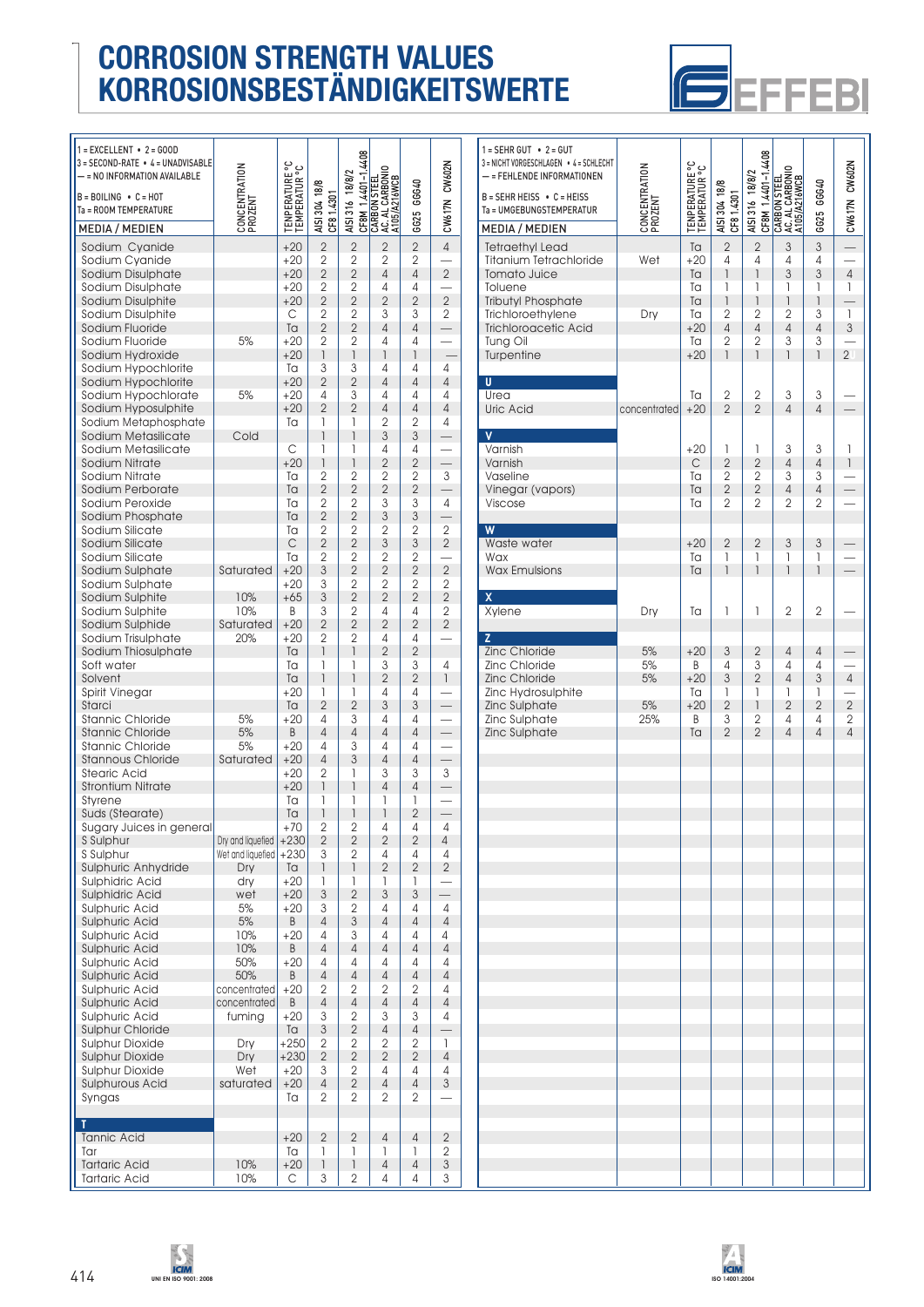

| $1 = EXCELLENT - 2 = GOD$                         |                          |                                 |                                  |                                  |                                                                       |                                  |                          | $\mathbf{1}$                 |
|---------------------------------------------------|--------------------------|---------------------------------|----------------------------------|----------------------------------|-----------------------------------------------------------------------|----------------------------------|--------------------------|------------------------------|
| 3 = SECOND-RATE • 4 = UNADVISABLE                 |                          |                                 |                                  |                                  |                                                                       |                                  |                          | $\overline{3}$               |
| - = NO INFORMATION AVAILABLE                      |                          |                                 |                                  |                                  |                                                                       |                                  |                          |                              |
| $B = BOLING \cdot C = HOT$                        |                          |                                 |                                  |                                  |                                                                       |                                  |                          | B                            |
| Ta = ROOM TEMPERATURE                             |                          |                                 |                                  |                                  |                                                                       |                                  |                          | T                            |
| <b>MEDIA / MEDIEN</b>                             | CONCENTRATION<br>PROZENT | TENPERATURE °C<br>TEMPERATUR °C | AISI 304 18/8<br>CF8 1.4301      | AISI 316 18/8/2                  | CF8M 1.4401-1.4408<br>CARBON STEEL<br>AC. AL CARBONIO<br>A105/A216WCB | GG25 GGG40                       | CW617N CW602N            | Ņ                            |
| Sodium Cyanide                                    |                          | $+20$                           | $\overline{2}$                   | $\overline{c}$                   | $\overline{2}$                                                        | $\overline{2}$                   | $\overline{4}$           | $\overline{\phantom{a}}$     |
| Sodium Cyanide                                    |                          | $+20$                           | $\overline{2}$                   | $\overline{2}$                   | $\overline{2}$                                                        | 2                                |                          | 1                            |
| Sodium Disulphate                                 |                          | $+20$                           | $\overline{2}$                   | $\overline{2}$                   | $\overline{4}$                                                        | $\overline{4}$                   | $\overline{2}$           | 1                            |
| Sodium Disulphate                                 |                          | $+20$                           | $\overline{c}$                   | $\overline{2}$                   | 4                                                                     | 4                                |                          | 1                            |
| Sodium Disulphite                                 |                          | $+20$                           | $\overline{2}$                   | $\overline{2}$                   | $\overline{2}$                                                        | $\overline{2}$                   | $\overline{2}$           | 1                            |
| Sodium Disulphite                                 |                          | C                               | 2                                | 2                                | 3                                                                     | 3                                | 2                        | 1                            |
| Sodium Fluoride                                   |                          | Ta                              | $\overline{2}$                   | $\overline{2}$                   | $\overline{4}$                                                        | $\overline{4}$                   |                          |                              |
| Sodium Fluoride                                   | 5%                       | $+20$<br>$+20$                  | $\overline{2}$<br>1              | $\overline{2}$<br>1              | 4<br>1                                                                | 4<br>$\overline{1}$              |                          |                              |
| Sodium Hydroxide<br>Sodium Hypochlorite           |                          | Ta                              | 3                                | 3                                | 4                                                                     | 4                                | 4                        |                              |
| Sodium Hypochlorite                               |                          | $+20$                           | $\overline{2}$                   | $\overline{2}$                   | $\overline{4}$                                                        | $\overline{4}$                   | $\overline{4}$           | Г                            |
| Sodium Hypochlorate                               | 5%                       | $+20$                           | 4                                | 3                                | 4                                                                     | 4                                | 4                        | l                            |
| Sodium Hyposulphite                               |                          | $+20$                           | $\overline{2}$                   | $\overline{2}$                   | $\overline{4}$                                                        | $\overline{4}$                   | $\overline{4}$           | l                            |
| Sodium Metaphosphate                              |                          | Ta                              | 1                                | 1                                | $\overline{2}$                                                        | $\overline{2}$                   | 4                        |                              |
| Sodium Metasilicate                               | Cold                     |                                 | 1                                | $\overline{1}$                   | 3                                                                     | 3                                |                          |                              |
| Sodium Metasilicate                               |                          | С                               | 1                                | 1                                | 4                                                                     | 4                                |                          |                              |
| Sodium Nitrate<br>Sodium Nitrate                  |                          | $+20$<br>Ta                     | 1<br>$\overline{2}$              | $\overline{1}$<br>$\overline{2}$ | $\overline{2}$<br>$\overline{2}$                                      | $\overline{2}$<br>$\overline{2}$ | 3                        |                              |
| Sodium Perborate                                  |                          | Ta                              | $\overline{2}$                   | $\overline{2}$                   | $\overline{2}$                                                        | $\overline{2}$                   |                          |                              |
| Sodium Peroxide                                   |                          | Ta                              | $\overline{2}$                   | 2                                | 3                                                                     | 3                                | $\overline{4}$           | ١                            |
| Sodium Phosphate                                  |                          | Ta                              | $\overline{2}$                   | $\overline{2}$                   | 3                                                                     | 3                                |                          |                              |
| Sodium Silicate                                   |                          | Ta                              | $\overline{2}$                   | $\overline{2}$                   | $\overline{2}$                                                        | 2                                | $\overline{2}$           | ٦                            |
| Sodium Silicate                                   |                          | C                               | $\overline{2}$                   | $\overline{2}$                   | $\mathfrak{Z}$                                                        | $\sqrt{3}$                       | $\overline{2}$           | $\overline{\phantom{a}}$     |
| Sodium Silicate                                   |                          | Ta                              | $\overline{2}$                   | $\overline{2}$                   | $\overline{2}$                                                        | $\overline{2}$                   |                          |                              |
| Sodium Sulphate                                   | Saturated                | $+20$                           | 3                                | $\overline{2}$                   | $\overline{2}$                                                        | $\overline{2}$                   | $\overline{2}$           | $\overline{\phantom{a}}$     |
| Sodium Sulphate<br>Sodium Sulphite                | 10%                      | $+20$<br>$+65$                  | 3<br>3                           | 2<br>$\overline{2}$              | $\overline{2}$<br>$\overline{2}$                                      | 2<br>$\overline{2}$              | 2<br>$\overline{2}$      |                              |
| Sodium Sulphite                                   | 10%                      | B                               | 3                                | $\overline{2}$                   | 4                                                                     | 4                                | 2                        | $\overline{\phantom{a}}$     |
| Sodium Sulphide                                   | Saturated                | $+20$                           | $\overline{2}$                   | $\overline{2}$                   | $\overline{2}$                                                        | $\overline{2}$                   | $\overline{2}$           |                              |
| Sodium Trisulphate                                | 20%                      | $+20$                           | $\overline{2}$                   | 2                                | 4                                                                     | 4                                |                          | Ž                            |
| Sodium Thiosulphate                               |                          | Ta                              | 1                                | 1                                | $\overline{2}$                                                        | $\overline{2}$                   |                          | Z                            |
| Soft water                                        |                          | Ta                              | 1                                | 1                                | 3                                                                     | 3                                | 4                        | ī                            |
| Solvent                                           |                          | Ta                              | 1                                | $\overline{1}$                   | $\overline{2}$                                                        | $\overline{2}$                   | $\overline{1}$           | ī                            |
| Spirit Vinegar<br>Starci                          |                          | $+20$<br>Ta                     | 1<br>$\overline{2}$              | 1<br>$\overline{2}$              | $\overline{4}$<br>3                                                   | 4<br>3                           |                          | $\overline{\mathbf{r}}$<br>ï |
| <b>Stannic Chloride</b>                           | 5%                       | $+20$                           | 4                                | 3                                | 4                                                                     | 4                                |                          | Ż                            |
| <b>Stannic Chloride</b>                           | 5%                       | B                               | $\overline{4}$                   | $\overline{4}$                   | $\overline{4}$                                                        | 4                                |                          |                              |
| <b>Stannic Chloride</b>                           | 5%                       | $+20$                           | 4                                | 3                                | $\overline{4}$                                                        | 4                                |                          |                              |
| <b>Stannous Chloride</b>                          | Saturated                | $+20$                           | $\overline{4}$                   | 3                                | $\overline{4}$                                                        | 4                                | $\overline{\phantom{0}}$ |                              |
| <b>Stearic Acid</b>                               |                          | $+20$                           | $\overline{2}$                   | 1                                | 3                                                                     | 3                                | $\overline{3}$           |                              |
| <b>Strontium Nitrate</b>                          |                          | $+20$                           | 1<br>1                           | $\overline{1}$<br>1              | $\overline{4}$<br>1                                                   | $\overline{4}$<br>1              |                          |                              |
| Styrene<br>Suds (Stearate)                        |                          | Ta<br>Ta                        | 1                                | 1                                | 1                                                                     | $\overline{2}$                   | $\overline{\phantom{0}}$ |                              |
| Sugary Juices in general                          |                          | +70                             | 2                                | 2                                | 4                                                                     | 4                                | 4                        |                              |
| S Sulphur                                         | Dry and liquefied        | $+230$                          | $\overline{2}$                   | $\overline{2}$                   | $\overline{2}$                                                        | $\overline{2}$                   | $\overline{4}$           |                              |
| S Sulphur                                         | Wet and liquefied        | $+230$                          | 3                                | $\overline{2}$                   | 4                                                                     | 4                                | 4                        |                              |
| Sulphuric Anhydride                               | Dry                      | Ta                              | 1                                | 1                                | $\overline{2}$                                                        | $\overline{2}$                   | $\overline{2}$           |                              |
| Sulphidric Acid                                   | dry                      | $+20$                           | 1                                | 1                                | 1                                                                     | 1                                |                          |                              |
| <b>Sulphidric Acid</b>                            | wet                      | $+20$                           | 3                                | $\overline{2}$                   | 3                                                                     | 3                                | $\overline{\phantom{0}}$ |                              |
| Sulphuric Acid<br>Sulphuric Acid                  | 5%<br>5%                 | $+20$<br>B                      | 3<br>$\overline{4}$              | 2<br>3                           | 4<br>$\overline{4}$                                                   | 4<br>$\overline{4}$              | 4<br>$\overline{4}$      |                              |
| Sulphuric Acid                                    | 10%                      | $+20$                           | 4                                | 3                                | 4                                                                     | 4                                | 4                        |                              |
| <b>Sulphuric Acid</b>                             | 10%                      | B                               | $\overline{4}$                   | $\overline{4}$                   | 4                                                                     | $\overline{4}$                   | $\overline{4}$           |                              |
| Sulphuric Acid                                    | 50%                      | $+20$                           | 4                                | 4                                | 4                                                                     | 4                                | 4                        |                              |
| Sulphuric Acid                                    | 50%                      | B                               | $\overline{4}$                   | $\overline{4}$                   | $\overline{4}$                                                        | 4                                | $\overline{4}$           |                              |
| <b>Sulphuric Acid</b>                             | concentrated             | $+20$                           | 2                                | 2                                | $\overline{2}$                                                        | 2                                | 4                        |                              |
| Sulphuric Acid                                    | concentrated             | B                               | $\overline{4}$                   | $\overline{4}$                   | 4                                                                     | $\overline{4}$                   | $\overline{4}$           |                              |
| Sulphuric Acid                                    | fuming                   | $+20$                           | 3                                | 2                                | 3                                                                     | 3                                | 4                        |                              |
| <b>Sulphur Chloride</b><br><b>Sulphur Dioxide</b> |                          | Ta                              | $\sqrt{3}$                       | $\overline{2}$                   | 4                                                                     | 4                                | $\mathbf{1}$             |                              |
| <b>Sulphur Dioxide</b>                            | Dry<br>Dry               | $+250$<br>$+230$                | $\overline{2}$<br>$\overline{2}$ | $\mathbf 2$<br>$\overline{2}$    | $\overline{2}$<br>$\mathbf{2}$                                        | 2<br>$\overline{2}$              | $\overline{4}$           |                              |
| <b>Sulphur Dioxide</b>                            | Wet                      | $+20$                           | 3                                | 2                                | 4                                                                     | 4                                | 4                        |                              |
| Sulphurous Acid                                   | saturated                | $+20$                           | $\overline{4}$                   | $\overline{2}$                   | $\overline{4}$                                                        | $\overline{4}$                   | 3                        |                              |
| Syngas                                            |                          | Ta                              | 2                                | 2                                | 2                                                                     | 2                                |                          |                              |
|                                                   |                          |                                 |                                  |                                  |                                                                       |                                  |                          |                              |
| T                                                 |                          |                                 |                                  |                                  |                                                                       |                                  |                          |                              |
| <b>Tannic Acid</b>                                |                          | $+20$                           | $\overline{2}$                   | $\overline{2}$                   | $\sqrt{4}$                                                            | $\overline{4}$<br>1              | 2<br>$\overline{2}$      |                              |
| Tar                                               |                          | Ta                              | 1                                | 1                                | $\mathbf{1}$                                                          |                                  |                          |                              |

| $1 = SEHR GUT - 2 = GUT$<br>3 = NICHT VORGESCHLAGEN • 4 = SCHLECHT<br>- = FEHLENDE INFORMATIONEN<br>$B = S E H R H E I S S \cdot C = H E I S S$<br>Ta = UMGEBUNGSTEMPERATUR<br><b>MEDIA / MEDIEN</b> | CONCENTRATION<br>PROZENT    | <b>TENPERATURE °C</b><br>TEMPERATUR °C                      | AISI 304 18/8<br>CF8 1.4301                                                                                                                                           | CF8M 1.4401-1.4408<br>AISI 316 18/8/2                                                                    | CARBON STEEL<br>AC. AL CARBONIO<br>A105/A216WCB                                  | GGG40<br>6625                                                                                       | CW617N CW602N                                                        |
|------------------------------------------------------------------------------------------------------------------------------------------------------------------------------------------------------|-----------------------------|-------------------------------------------------------------|-----------------------------------------------------------------------------------------------------------------------------------------------------------------------|----------------------------------------------------------------------------------------------------------|----------------------------------------------------------------------------------|-----------------------------------------------------------------------------------------------------|----------------------------------------------------------------------|
|                                                                                                                                                                                                      |                             |                                                             |                                                                                                                                                                       |                                                                                                          |                                                                                  |                                                                                                     |                                                                      |
| <b>Tetraethyl Lead</b><br><b>Titanium Tetrachloride</b><br><b>Tomato Juice</b><br>Toluene<br><b>Tributyl Phosphate</b><br>Trichloroethylene<br><b>Trichloroacetic Acid</b><br>Tung Oil<br>Turpentine | Wet<br>Dry                  | Ta<br>$+20$<br>Ta<br>Ta<br>Ta<br>Ta<br>$+20$<br>Ta<br>$+20$ | $\overline{c}$<br>4<br>$\begin{array}{c} \hline \end{array}$<br>1<br>$\begin{array}{c} \hline \end{array}$<br>$\overline{2}$<br>4<br>$\overline{2}$<br>$\overline{1}$ | $\overline{2}$<br>4<br>$\mathsf{I}$<br>1<br>1<br>$\overline{2}$<br>$\overline{4}$<br>$\overline{2}$<br>1 | 3<br>4<br>$\mathfrak{S}$<br>1<br>1<br>$\overline{2}$<br>$\overline{4}$<br>3<br>1 | $\sqrt{3}$<br>4<br>3<br>1<br>$\begin{array}{c} \hline \end{array}$<br>3<br>$\overline{4}$<br>3<br>1 | $\sqrt{4}$<br>$\overline{\phantom{a}}$<br>1<br>3<br>2 <sup>1</sup>   |
| U                                                                                                                                                                                                    |                             |                                                             |                                                                                                                                                                       |                                                                                                          |                                                                                  |                                                                                                     |                                                                      |
| Urea                                                                                                                                                                                                 |                             | Ta                                                          | $\overline{c}$                                                                                                                                                        | $\mathbf{2}$                                                                                             | 3                                                                                | 3                                                                                                   |                                                                      |
| <b>Uric Acid</b>                                                                                                                                                                                     | concentrated                | $+20$                                                       | $\overline{2}$                                                                                                                                                        | $\overline{2}$                                                                                           | $\overline{4}$                                                                   | $\overline{4}$                                                                                      |                                                                      |
| V<br>Varnish<br>Varnish<br>Vaseline<br>Vinegar (vapors)<br>Viscose                                                                                                                                   |                             | $+20$<br>$\mathsf{C}$<br>Ta<br>Ta<br>Ta                     | 1<br>$\overline{2}$<br>$\overline{2}$<br>$\overline{2}$<br>2                                                                                                          | 1<br>$\overline{2}$<br>2<br>$\overline{2}$<br>2                                                          | 3<br>$\overline{4}$<br>3<br>$\sqrt{4}$<br>2                                      | 3<br>$\overline{4}$<br>3<br>$\sqrt{4}$<br>2                                                         | 1<br>$\begin{array}{c} \hline \end{array}$                           |
| W<br>Waste water<br>Wax<br><b>Wax Emulsions</b>                                                                                                                                                      |                             | $+20$<br>Ta<br>Ta                                           | $\overline{2}$<br>1<br>1                                                                                                                                              | $\overline{2}$<br>1<br>$\overline{1}$                                                                    | 3<br>1<br>$\overline{1}$                                                         | 3<br>1<br>$\overline{1}$                                                                            |                                                                      |
| X<br>Xylene                                                                                                                                                                                          | Dry                         | Ta                                                          | 1                                                                                                                                                                     | 1                                                                                                        | $\overline{2}$                                                                   | $\overline{2}$                                                                                      |                                                                      |
|                                                                                                                                                                                                      |                             |                                                             |                                                                                                                                                                       |                                                                                                          |                                                                                  |                                                                                                     |                                                                      |
| z<br>Zinc Chloride<br>Zinc Chloride<br>Zinc Chloride<br>Zinc Hydrosulphite<br>Zinc Sulphate<br>Zinc Sulphate<br>Zinc Sulphate                                                                        | 5%<br>5%<br>5%<br>5%<br>25% | $+20$<br>B<br>$+20$<br>Ta<br>$+20$<br>B<br>Ta               | 3<br>4<br>3<br>1<br>$\overline{2}$<br>3<br>$\overline{2}$                                                                                                             | $\mathbf{2}$<br>3<br>$\overline{2}$<br>1<br>$\mathbf{1}$<br>2<br>$\overline{2}$                          | 4<br>4<br>$\overline{4}$<br>1<br>$\overline{2}$<br>4<br>$\overline{4}$           | $\overline{4}$<br>4<br>3<br>1<br>$\overline{2}$<br>4<br>$\overline{4}$                              | $\overline{4}$<br>$\overline{2}$<br>$\overline{2}$<br>$\overline{4}$ |





Tartaric Acid | 10% | +20 | 1 | 1 | 4 | 4 | 3 Tartaric Acid | 10% | C | 3 | 2 | 4 | 4 | 3

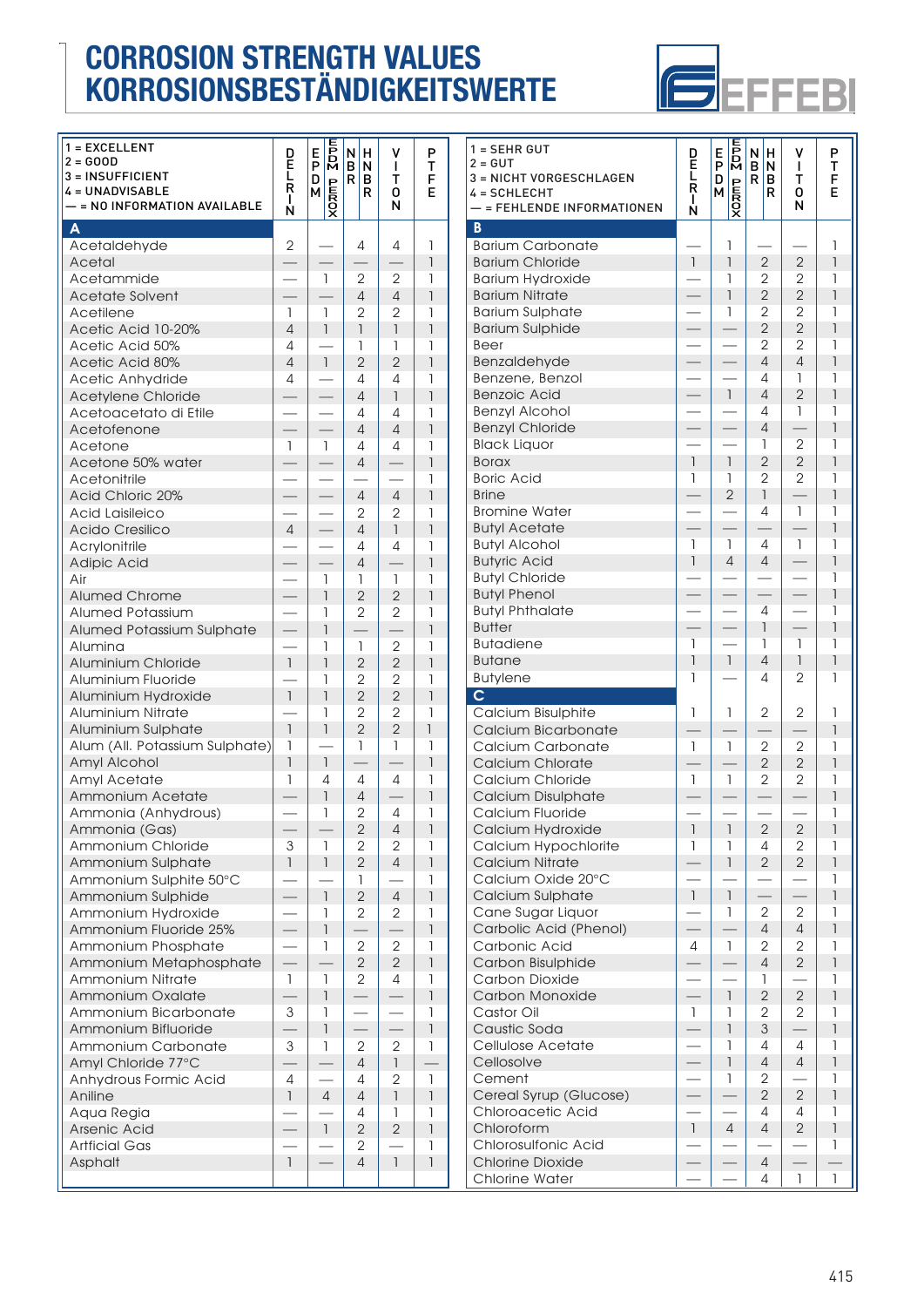

| 1 = EXCELLENT<br>$2 = GOOD$<br>3 = INSUFFICIENT<br><b>4 = UNADVISABLE</b><br>- = NO INFORMATION AVAILABLE | р<br>Е<br>$\frac{L}{R}$<br>L<br>Ń     | $rac{1}{2}$<br>E.<br>P<br>D<br>$\frac{D}{\sqrt{2}}$ | И<br>н<br>B<br>N<br>$\mathsf{R}$<br>в<br>R | ٧<br>L<br>т<br>0<br>N          | P<br>т<br>F<br>E              | $1 = SEH$<br>$2 = GUT$<br>$3 = NIC$<br>$4 = SCH$<br>$-$ = FEI |
|-----------------------------------------------------------------------------------------------------------|---------------------------------------|-----------------------------------------------------|--------------------------------------------|--------------------------------|-------------------------------|---------------------------------------------------------------|
| $\boldsymbol{\mathsf{A}}$                                                                                 |                                       |                                                     |                                            |                                |                               | $\overline{B}$                                                |
| Acetaldehyde                                                                                              | $\overline{2}$                        |                                                     | 4                                          | 4                              | 1                             | <b>Bariun</b>                                                 |
| Acetal                                                                                                    | $\overline{\phantom{0}}$              | 1                                                   |                                            |                                | $\overline{1}$<br>1           | <b>Bariun</b><br><b>Bariun</b>                                |
| Acetammide<br><b>Acetate Solvent</b>                                                                      |                                       |                                                     | $\mathbf{2}$<br>$\overline{4}$             | 2<br>$\overline{4}$            | $\overline{\phantom{a}}$      | <b>Bariun</b>                                                 |
| Acetilene                                                                                                 | 1                                     | 1                                                   | $\overline{2}$                             | $\overline{2}$                 | 1                             | <b>Bariun</b>                                                 |
| Acetic Acid 10-20%                                                                                        | $\overline{4}$                        | $\overline{1}$                                      | $\begin{array}{c} \hline \end{array}$      | $\overline{\phantom{a}}$       | $\overline{1}$                | <b>Bariun</b>                                                 |
| Acetic Acid 50%                                                                                           | 4                                     |                                                     | $\mathbf{I}$                               | 1                              | 1                             | Beer                                                          |
| Acetic Acid 80%                                                                                           | $\overline{4}$                        | $\mathbf{1}$                                        | $\overline{2}$                             | $\overline{2}$                 | 1                             | Benza                                                         |
| Acetic Anhydride                                                                                          | 4                                     | $\overline{\phantom{0}}$                            | 4                                          | 4                              | 1                             | Benze                                                         |
| Acetylene Chloride                                                                                        |                                       | $\overline{\phantom{0}}$                            | $\overline{4}$                             | $\mathbf{1}$                   | $\overline{\phantom{a}}$      | Benzo                                                         |
| Acetoacetato di Etile                                                                                     | $\overline{\phantom{0}}$              | $\equiv$                                            | 4                                          | 4                              | 1                             | Benzy                                                         |
| Acetofenone                                                                                               | $\equiv$                              |                                                     | $\overline{4}$                             | $\overline{4}$                 | $\overline{1}$                | Benzy                                                         |
| Acetone                                                                                                   | 1                                     | 1                                                   | 4                                          | 4                              | 1                             | <b>Black</b>                                                  |
| Acetone 50% water                                                                                         |                                       |                                                     | $\overline{4}$                             | ═                              | $\overline{\phantom{a}}$      | <b>Borax</b>                                                  |
| Acetonitrile                                                                                              |                                       |                                                     |                                            |                                | 1                             | Boric                                                         |
| <b>Acid Chloric 20%</b>                                                                                   |                                       | $\overline{\phantom{0}}$                            | $\overline{4}$                             | $\overline{4}$                 | $\overline{\phantom{a}}$      | Brine                                                         |
| <b>Acid Laisileico</b>                                                                                    |                                       | $\overline{\phantom{0}}$                            | 2                                          | $\mathbf{2}$                   | 1                             | <b>Bromir</b>                                                 |
| Acido Cresilico                                                                                           | $\overline{4}$                        |                                                     | $\overline{4}$                             | $\mathbf{1}$                   | $\overline{1}$                | Butyl A                                                       |
| Acrylonitrile                                                                                             |                                       |                                                     | $\overline{4}$                             | 4                              | $\mathbf{I}$                  | Butyl A<br><b>Butyrio</b>                                     |
| Adipic Acid<br>Air                                                                                        |                                       | $\overline{\phantom{0}}$<br>1                       | $\overline{4}$<br>$\mathbf{I}$             | $\mathbf{1}$                   | $\overline{\phantom{a}}$<br>1 | Butyl (                                                       |
| <b>Alumed Chrome</b>                                                                                      |                                       | $\overline{1}$                                      | $\overline{2}$                             | $\overline{2}$                 | 1                             | <b>Butyl</b> F                                                |
| <b>Alumed Potassium</b>                                                                                   |                                       | 1                                                   | $\mathbf{2}$                               | $\mathbf{2}$                   | 1                             | <b>Butyl</b> F                                                |
| Alumed Potassium Sulphate                                                                                 |                                       | $\overline{1}$                                      | ㅡ                                          | $\equiv$                       | $\overline{1}$                | <b>Butter</b>                                                 |
| Alumina                                                                                                   |                                       | 1                                                   | $\mathbf{1}$                               | $\overline{2}$                 | 1                             | <b>Butad</b>                                                  |
| Aluminium Chloride                                                                                        | $\overline{1}$                        | $\overline{1}$                                      | $\overline{2}$                             | $\overline{2}$                 | $\overline{1}$                | <b>Butan</b>                                                  |
| Aluminium Fluoride                                                                                        |                                       | 1                                                   | 2                                          | $\mathbf{2}$                   | 1                             | <b>Butyle</b>                                                 |
| Aluminium Hydroxide                                                                                       | $\begin{array}{c} \hline \end{array}$ | $\overline{\phantom{a}}$                            | $\overline{2}$                             | $\overline{2}$                 | $\overline{\phantom{a}}$      | $\mathsf{C}$                                                  |
| <b>Aluminium Nitrate</b>                                                                                  |                                       | 1                                                   | $\overline{2}$                             | $\overline{2}$                 | 1                             | Calciu                                                        |
| Aluminium Sulphate                                                                                        | $\mathbf{1}$                          | $\overline{\phantom{a}}$                            | $\overline{2}$                             | $\overline{2}$                 | $\overline{1}$                | Calciu                                                        |
| Alum (All. Potassium Sulphate)                                                                            | 1                                     |                                                     | $\mathbf{I}$                               | $\mathbf{I}$                   | 1                             | Calciu                                                        |
| Amyl Alcohol                                                                                              | $\overline{1}$                        | $\mathbf{1}$                                        | —                                          |                                | $\overline{\phantom{a}}$      | Calciu                                                        |
| Amyl Acetate                                                                                              | 1                                     | 4                                                   | $\overline{4}$                             | 4                              | $\mathbf{I}$                  | Calciu                                                        |
| Ammonium Acetate                                                                                          |                                       | $\overline{1}$                                      | $\overline{4}$                             |                                | $\overline{1}$                | Calciu                                                        |
| Ammonia (Anhydrous)                                                                                       |                                       | 1                                                   | $\overline{2}$                             | 4                              | $\mathbf{I}$                  | Calciu                                                        |
| Ammonia (Gas)                                                                                             |                                       |                                                     | $\mathbf{2}$                               | $\overline{4}$                 | 1                             | Calciu                                                        |
| Ammonium Chloride                                                                                         | 3<br>$\mathbf{1}$                     | 1<br>$\mathbf{I}$                                   | 2<br>$\overline{2}$                        | $\mathbf{2}$<br>$\overline{4}$ | 1<br>$\overline{1}$           | Calciu                                                        |
| Ammonium Sulphate<br>Ammonium Sulphite 50°C                                                               |                                       |                                                     | $\mathbf{1}$                               |                                | $\mathbf{I}$                  | Calciu<br>Calciu                                              |
| Ammonium Sulphide                                                                                         |                                       | $\mathsf{I}$                                        | $\overline{2}$                             | $\overline{4}$                 | $\overline{1}$                | Calciu                                                        |
| Ammonium Hydroxide                                                                                        |                                       | 1                                                   | 2                                          | $\mathbf{2}$                   | 1                             | Cane                                                          |
| Ammonium Fluoride 25%                                                                                     |                                       | $\ensuremath{\mathsf{I}}$                           |                                            |                                | $\overline{1}$                | Carbo                                                         |
| Ammonium Phosphate                                                                                        |                                       | 1                                                   | $\mathbf{2}$                               | $\mathbf{2}$                   | 1                             | Carbo                                                         |
| Ammonium Metaphosphate                                                                                    |                                       |                                                     | $\mathbf{2}$                               | $\overline{2}$                 | $\overline{1}$                | Carbo                                                         |
| Ammonium Nitrate                                                                                          | $\mathbb{I}$                          | $\mathbf{1}$                                        | $\mathbf{2}$                               | 4                              | 1                             | Carbo                                                         |
| Ammonium Oxalate                                                                                          |                                       | $\ensuremath{\mathsf{I}}$                           |                                            |                                | $\overline{1}$                | Carbo                                                         |
| Ammonium Bicarbonate                                                                                      | 3                                     | 1                                                   | $\overline{\phantom{0}}$                   | $\overline{\phantom{0}}$       | 1                             | Casto                                                         |
| Ammonium Bifluoride                                                                                       |                                       | $\ensuremath{\mathsf{I}}$                           |                                            |                                | $\overline{\phantom{a}}$      | Caust                                                         |
| Ammonium Carbonate                                                                                        | 3                                     | 1                                                   | $\mathbf{2}$                               | $\mathbf{2}$                   | $\mathbf{I}$                  | Celluk                                                        |
| Amyl Chloride 77°C                                                                                        |                                       |                                                     | $\overline{4}$                             | $\mathbf{I}$                   |                               | Cellos                                                        |
| Anhydrous Formic Acid                                                                                     | 4                                     |                                                     | 4                                          | $\mathbf{2}$                   | 1                             | Ceme                                                          |
| Aniline                                                                                                   | $\mathbf{I}$                          | $\overline{4}$                                      | $\overline{4}$                             | $\mathbf{1}$                   | $\overline{\phantom{a}}$      | Cerec                                                         |
| Aqua Regia                                                                                                |                                       |                                                     | 4                                          | $\mathbf{1}$                   | $\mathbf{I}$                  | Chlord                                                        |
| Arsenic Acid                                                                                              |                                       | $\mathbf{1}$                                        | $\overline{2}$                             | $\overline{2}$                 | $\overline{\phantom{a}}$      | Chlord                                                        |
| <b>Artficial Gas</b>                                                                                      | $\mathbf{I}$                          |                                                     | 2<br>$\overline{4}$                        | $\mathbf{I}$                   | 1<br>$\overline{1}$           | Chlord<br>Chlori                                              |
| Asphalt                                                                                                   |                                       |                                                     |                                            |                                |                               | Chlori                                                        |
|                                                                                                           |                                       |                                                     |                                            |                                |                               |                                                               |

| $1 = SEHR GUT$<br>$2 = GUT$<br>3 = NICHT VORGESCHLAGEN<br>4 = SCHLECHT<br>- = FEHLENDE INFORMATIONEN<br>B                                                         | D<br>Ē<br>Ē<br>R<br>L<br>N                           | $\sqrt{\frac{1}{2}}$<br>E<br>P<br>D<br><b>XOZMD</b><br>М                                       | N<br>н<br>B<br>N<br>R<br>в<br>R                                                                                                | ۷<br>$\mathbf{I}$<br>т<br>0<br>N                                                                       | P<br>т<br>F<br>Е                                                       |
|-------------------------------------------------------------------------------------------------------------------------------------------------------------------|------------------------------------------------------|------------------------------------------------------------------------------------------------|--------------------------------------------------------------------------------------------------------------------------------|--------------------------------------------------------------------------------------------------------|------------------------------------------------------------------------|
| <b>Barium Carbonate</b><br><b>Barium Chloride</b><br><b>Barium Hydroxide</b><br><b>Barium Nitrate</b><br><b>Barium Sulphate</b><br><b>Barium Sulphide</b><br>Beer | $\mathbf{I}$                                         | 1<br>$\overline{\mathsf{I}}$<br>1<br>$\overline{\phantom{a}}$<br>1<br>$\overline{\phantom{0}}$ | $\sqrt{2}$<br>$\overline{2}$<br>$\overline{2}$<br>$\overline{2}$<br>$\overline{2}$<br>$\overline{2}$                           | $\mathbf{2}$<br>$\overline{2}$<br>$\overline{2}$<br>$\overline{2}$<br>$\overline{2}$<br>$\overline{2}$ | 1<br>$\overline{1}$<br>1<br>$\overline{1}$<br>1<br>$\overline{1}$<br>1 |
| Benzaldehyde<br>Benzene, Benzol<br><b>Benzoic Acid</b><br><b>Benzyl Alcohol</b><br><b>Benzyl Chloride</b><br><b>Black Liquor</b><br><b>Borax</b>                  | $\overline{\phantom{0}}$<br>$\overline{\phantom{a}}$ | $\mathbf{I}$<br>$\overline{\phantom{a}}$                                                       | $\overline{4}$<br>4<br>$\overline{4}$<br>4<br>$\overline{4}$<br>1<br>$\overline{2}$                                            | $\overline{4}$<br>1<br>$\overline{2}$<br>1<br>$\overline{2}$<br>$\overline{2}$                         | 1<br>1<br>1<br>1<br>1<br>1<br>1                                        |
| <b>Boric Acid</b><br><b>Brine</b><br><b>Bromine Water</b><br><b>Butyl Acetate</b><br><b>Butyl Alcohol</b><br><b>Butyric Acid</b><br><b>Butyl Chloride</b>         | 1<br>1<br>$\overline{\mathsf{I}}$                    | 1<br>$\overline{2}$<br>1<br>$\overline{4}$                                                     | $\overline{2}$<br>$\overline{\phantom{a}}$<br>4<br>$\overline{\phantom{0}}$<br>4<br>$\overline{4}$<br>$\overline{\phantom{0}}$ | $\overline{2}$<br>$\overline{\phantom{0}}$<br>$\mathbf{1}$<br>T<br>$\overline{\phantom{0}}$            | 1<br>1<br>1<br>1<br>1<br>1<br>1                                        |
| <b>Butyl Phenol</b><br><b>Butyl Phthalate</b><br><b>Butter</b><br><b>Butadiene</b><br><b>Butane</b><br><b>Butylene</b>                                            | 1<br>1<br>1                                          | $\overline{\phantom{0}}$<br>$\mathbf{1}$                                                       | 4<br>$\overline{1}$<br>1<br>$\overline{4}$<br>4                                                                                | $\qquad \qquad -$<br>1<br>$\mathsf{I}$<br>$\overline{2}$                                               | 1<br>1<br>1<br>1<br>1<br>1                                             |
| $\overline{\mathsf{C}}$<br>Calcium Bisulphite                                                                                                                     | 1                                                    | 1                                                                                              | 2                                                                                                                              | 2                                                                                                      | 1                                                                      |
| Calcium Bicarbonate<br>Calcium Carbonate<br><b>Calcium Chlorate</b><br>Calcium Chloride                                                                           | 1<br>$\mathbf{I}$                                    | $\mathbf{I}$<br>1                                                                              | 2<br>$\overline{2}$<br>$\overline{2}$                                                                                          | 2<br>$\overline{2}$<br>$\overline{2}$                                                                  | 1<br>1<br>1<br>1                                                       |
| Calcium Disulphate<br>Calcium Fluoride<br>Calcium Hydroxide<br>Calcium Hypochlorite                                                                               | $\overline{1}$<br>1                                  | $\overline{1}$<br>1                                                                            | $\overline{2}$<br>4                                                                                                            | $\sqrt{2}$<br>$\overline{2}$                                                                           | 1<br>1<br>1<br>1                                                       |
| <b>Calcium Nitrate</b><br>Calcium Oxide 20°C<br>Calcium Sulphate                                                                                                  | $\mathbf{I}$                                         | $\overline{1}$<br>1                                                                            | $\overline{2}$<br>$\overline{\phantom{0}}$                                                                                     | $\overline{2}$                                                                                         | 1<br>1<br>1                                                            |
| Cane Sugar Liquor<br>Carbolic Acid (Phenol)<br>Carbonic Acid<br>Carbon Bisulphide                                                                                 | 4                                                    | 1<br>1                                                                                         | 2<br>$\overline{4}$<br>$\overline{2}$<br>4                                                                                     | 2<br>4<br>$\overline{2}$<br>$\overline{2}$                                                             | 1<br>1<br>1<br>1                                                       |
| <b>Carbon Dioxide</b><br>Carbon Monoxide<br>Castor Oil                                                                                                            | 1                                                    | 1<br>1                                                                                         | 1<br>$\overline{2}$<br>$\overline{2}$                                                                                          | $\overline{2}$<br>$\overline{2}$                                                                       | 1<br>1<br>1                                                            |
| Caustic Soda<br>Cellulose Acetate<br>Cellosolve<br>Cement                                                                                                         |                                                      | 1<br>1<br>$\begin{array}{c} \hline \end{array}$<br>1                                           | $\ensuremath{\mathsf{3}}$<br>4<br>$\overline{4}$<br>2                                                                          | 4<br>$\overline{4}$                                                                                    | 1<br>1<br>1<br>1                                                       |
| Cereal Syrup (Glucose)<br>Chloroacetic Acid<br>Chloroform<br>Chlorosulfonic Acid                                                                                  | $\mathsf{I}$                                         | $\overline{4}$                                                                                 | $\overline{2}$<br>4<br>4                                                                                                       | $\overline{2}$<br>4<br>$\overline{2}$                                                                  | 1<br>1<br>1<br>1                                                       |
| <b>Chlorine Dioxide</b><br><b>Chlorine Water</b>                                                                                                                  |                                                      |                                                                                                | $\overline{4}$<br>4                                                                                                            | 1                                                                                                      | 1                                                                      |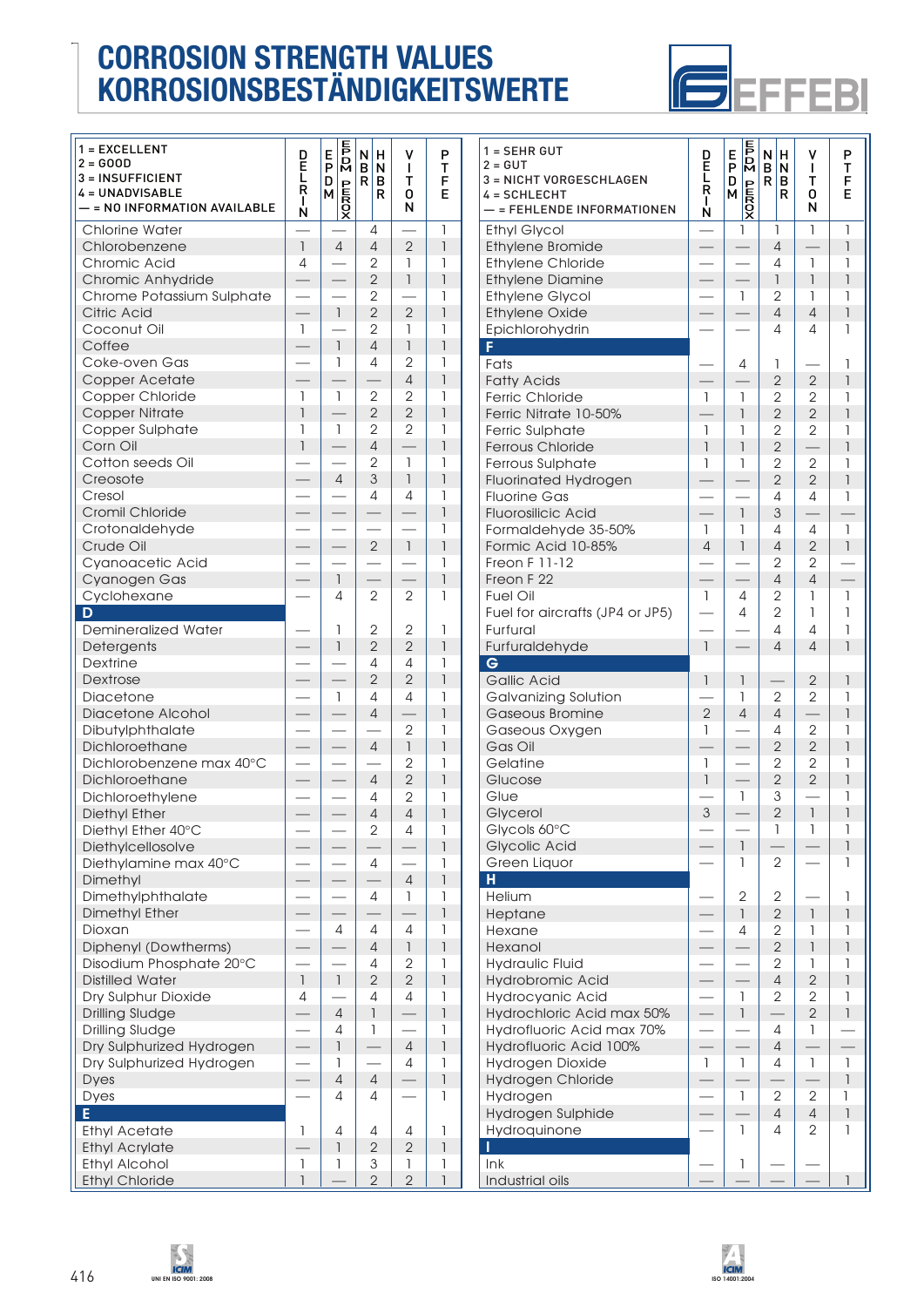

| 1 = EXCELLENT<br>$2 = GOOD$<br>3 = INSUFFICIENT<br>4 = UNADVISABLE<br>$-$ = NO INFORMATION AVAILABLE | D<br>Ĕ<br>L<br>R<br>$\mathbf{I}$      | $\frac{E}{P}$<br>D<br>$\frac{D}{\sqrt{2}}$ | N<br>н<br>B<br>N<br>R<br>в<br>R | ٧<br>$\mathbf{I}$<br>Т<br>0<br>N | P<br>т<br>F<br>E              | $1 =$<br>$2 =$<br>$3 =$<br>$4 =$ |
|------------------------------------------------------------------------------------------------------|---------------------------------------|--------------------------------------------|---------------------------------|----------------------------------|-------------------------------|----------------------------------|
| <b>Chlorine Water</b>                                                                                | N                                     |                                            | 4                               |                                  | $\mathbf{I}$                  | Etl                              |
| Chlorobenzene                                                                                        | $\mathbf{1}$                          | $\overline{4}$                             | $\overline{4}$                  | $\overline{2}$                   | 1                             | Etl                              |
| Chromic Acid                                                                                         | 4                                     |                                            | 2                               | 1                                | 1                             | Etl                              |
| Chromic Anhydride                                                                                    | $\overline{\phantom{0}}$              |                                            | $\overline{2}$                  | $\mathbf{I}$                     | $\overline{\phantom{a}}$      | Etl                              |
| Chrome Potassium Sulphate                                                                            | $\mathbb{R}^2$                        |                                            | $\overline{2}$                  |                                  | 1                             | Eti                              |
| <b>Citric Acid</b>                                                                                   | $\frac{1}{1}$                         | $\overline{1}$                             | $\overline{2}$                  | $\overline{2}$                   | $\mathsf{I}$                  | Etl                              |
| Coconut Oil<br>Coffee                                                                                | 1                                     | $\mathbf{I}$                               | 2<br>$\overline{4}$             | 1<br>$\mathsf{I}$                | 1<br>$\overline{\phantom{a}}$ | Ep<br>F.                         |
| Coke-oven Gas                                                                                        |                                       | 1                                          | 4                               | $\overline{2}$                   | 1                             | Fa                               |
| Copper Acetate                                                                                       | $\overline{\phantom{0}}$              |                                            |                                 | $\overline{4}$                   | $\overline{1}$                | Fa                               |
| Copper Chloride                                                                                      | 1                                     | 1                                          | $\mathbf{2}$                    | $\mathbf{2}$                     | 1                             | Fe                               |
| <b>Copper Nitrate</b>                                                                                | $\overline{1}$                        |                                            | $\mathbf{2}$                    | $\overline{2}$                   | $\overline{\phantom{a}}$      | Fe                               |
| Copper Sulphate                                                                                      | 1                                     | 1                                          | $\overline{2}$                  | $\overline{2}$                   | 1                             | Fe                               |
| Corn Oil                                                                                             | $\overline{1}$                        |                                            | $\overline{4}$                  |                                  | 1                             | Fe                               |
| Cotton seeds Oil                                                                                     |                                       |                                            | 2                               | $\mathbf{1}$                     | 1                             | Fe                               |
| Creosote<br>Cresol                                                                                   |                                       | $\overline{4}$                             | $\mathsf 3$<br>4                | $\mathbf{I}$<br>4                | 1<br>1                        | Flu<br>Flu                       |
| Cromil Chloride                                                                                      |                                       |                                            |                                 |                                  | $\overline{1}$                | Flu                              |
| Crotonaldehyde                                                                                       |                                       |                                            |                                 |                                  | 1                             | Fo                               |
| Crude Oil                                                                                            |                                       |                                            | $\overline{2}$                  | $\overline{1}$                   | $\overline{1}$                | Fo                               |
| Cyanoacetic Acid                                                                                     |                                       |                                            |                                 |                                  | 1                             | Fre                              |
| Cyanogen Gas                                                                                         |                                       | $\mathbf{1}$                               |                                 |                                  | $\overline{1}$                | Fre                              |
| Cyclohexane                                                                                          |                                       | 4                                          | $\overline{2}$                  | 2                                | 1                             | Fu                               |
| D<br><b>Demineralized Water</b>                                                                      |                                       | 1                                          | 2                               | 2                                | 1                             | Fu<br>Fu                         |
| Detergents                                                                                           |                                       | $\mathbf{1}$                               | $\overline{2}$                  | $\overline{2}$                   | 1                             | Fu                               |
| Dextrine                                                                                             |                                       |                                            | 4                               | 4                                | 1                             | $\mathbf G$                      |
| Dextrose                                                                                             |                                       |                                            | $\overline{2}$                  | $\overline{2}$                   | $\overline{\phantom{a}}$      | G                                |
| Diacetone                                                                                            |                                       | $\mathbf{1}$                               | 4                               | $\overline{4}$                   | 1                             | G                                |
| <b>Diacetone Alcohol</b>                                                                             |                                       | $\overline{\phantom{0}}$                   | $\overline{4}$                  |                                  | $\overline{1}$                | G                                |
| Dibutylphthalate                                                                                     |                                       |                                            | $\overline{4}$                  | $\mathbf{2}$                     | 1<br>$\overline{\phantom{a}}$ | G                                |
| Dichloroethane<br>Dichlorobenzene max 40°C                                                           |                                       |                                            |                                 | $\mathbf{I}$<br>$\overline{2}$   | 1                             | G<br>G                           |
| Dichloroethane                                                                                       | $\equiv$                              |                                            | $\overline{4}$                  | $\overline{2}$                   | $\overline{1}$                | GI                               |
| Dichloroethylene                                                                                     | $\overline{\phantom{0}}$              | $\equiv$                                   | 4                               | $\mathbf{2}$                     | 1                             | GI                               |
| <b>Diethyl Ether</b>                                                                                 |                                       |                                            | $\overline{4}$                  | $\overline{4}$                   | $\overline{1}$                | GI                               |
| Diethyl Ether 40°C                                                                                   |                                       |                                            | 2                               | 4                                | 1                             | GI                               |
| Diethylcellosolve                                                                                    |                                       |                                            |                                 |                                  | $\overline{1}$                | GI                               |
| Diethylamine max 40°C                                                                                |                                       |                                            | $\overline{4}$                  |                                  | 1                             | Gı                               |
| Dimethyl                                                                                             |                                       |                                            | 4                               | $\overline{4}$                   | 1<br>1                        | H.                               |
| Dimethylphthalate<br><b>Dimethyl Ether</b>                                                           |                                       |                                            |                                 | 1                                | $\overline{1}$                | He<br>He                         |
| Dioxan                                                                                               |                                       | 4                                          | 4                               | 4                                | 1                             | He                               |
| Diphenyl (Dowtherms)                                                                                 |                                       |                                            | $\sqrt{4}$                      | $\mathsf{I}$                     | $\mathbb{I}$                  | He                               |
| Disodium Phosphate 20°C                                                                              |                                       |                                            | 4                               | 2                                | 1                             | Нy                               |
| <b>Distilled Water</b>                                                                               | $\begin{array}{c} \hline \end{array}$ | $\ensuremath{\mathsf{I}}$                  | $\sqrt{2}$                      | $\mathbf{2}$                     | $\mathbb{I}$                  | Нy                               |
| Dry Sulphur Dioxide                                                                                  | 4                                     |                                            | 4                               | $\overline{4}$                   | 1                             | Нy                               |
| <b>Drilling Sludge</b>                                                                               |                                       | $\overline{4}$                             | $\mathbf{1}$                    |                                  | $\overline{1}$                | Нy                               |
| <b>Drilling Sludge</b><br>Dry Sulphurized Hydrogen                                                   | $\overline{\phantom{0}}$              | 4<br>1                                     | 1                               | $\overline{4}$                   | 1<br>1                        | Нy                               |
| Dry Sulphurized Hydrogen                                                                             |                                       | 1                                          |                                 | 4                                | 1                             | Нy<br>Нy                         |
| <b>Dyes</b>                                                                                          |                                       | $\overline{4}$                             | $\overline{4}$                  |                                  | $\overline{1}$                | Нy                               |
| Dyes                                                                                                 |                                       | 4                                          | 4                               |                                  | 1                             | Нy                               |
| E                                                                                                    |                                       |                                            |                                 |                                  |                               | Нy                               |
| <b>Ethyl Acetate</b>                                                                                 | 1                                     | 4                                          | 4                               | 4                                | 1                             | Нy                               |
| <b>Ethyl Acrylate</b>                                                                                |                                       | 1                                          | $\mathbf{2}$                    | $\mathbf{2}$                     | $\overline{1}$                | ı.                               |
| <b>Ethyl Alcohol</b><br><b>Ethyl Chloride</b>                                                        | 1<br>$\overline{\phantom{a}}$         | 1                                          | 3<br>$\overline{2}$             | 1<br>$\overline{2}$              | 1<br>$\mathbf{1}$             | $\ln$<br>Inc                     |
|                                                                                                      |                                       |                                            |                                 |                                  |                               |                                  |

| $1 = SEHR GUT$<br>$2 = GUT$<br>3 = NICHT VORGESCHLAGEN<br>4 = SCHLECHT<br>- = FEHLENDE INFORMATIONEN | D<br>Ē<br>L<br>Ŕ<br>L<br>N     | $\sqrt{2}$<br>E<br>P<br>D<br>$\begin{array}{c}\nD \\ M \\ \hline\nQ\n\end{array}$ | N<br>н<br>B<br>N<br>R<br>в<br>R | ٧<br>T<br>т<br>0<br>N                     | P<br>T<br>F<br>E          |
|------------------------------------------------------------------------------------------------------|--------------------------------|-----------------------------------------------------------------------------------|---------------------------------|-------------------------------------------|---------------------------|
| <b>Ethyl Glycol</b>                                                                                  | $\overline{\phantom{0}}$       | 1                                                                                 | 1                               | $\mathbf{1}$                              | 1                         |
| <b>Ethylene Bromide</b>                                                                              |                                |                                                                                   | $\overline{4}$                  |                                           | 1                         |
| <b>Ethylene Chloride</b>                                                                             |                                |                                                                                   | 4                               | 1                                         | 1                         |
| <b>Ethylene Diamine</b>                                                                              |                                |                                                                                   | $\overline{1}$                  | 1                                         | 1                         |
| <b>Ethylene Glycol</b>                                                                               |                                | 1                                                                                 | $\overline{2}$                  | 1                                         | 1                         |
| <b>Ethylene Oxide</b>                                                                                |                                |                                                                                   | $\overline{4}$                  | $\overline{4}$                            | $\overline{1}$            |
| Epichlorohydrin                                                                                      |                                |                                                                                   | 4                               | 4                                         | 1                         |
| F                                                                                                    |                                |                                                                                   |                                 |                                           |                           |
| Fats                                                                                                 |                                | 4                                                                                 | 1                               |                                           | 1                         |
| <b>Fatty Acids</b>                                                                                   |                                |                                                                                   | $\overline{2}$                  | $\overline{2}$                            | $\overline{1}$            |
| <b>Ferric Chloride</b><br>Ferric Nitrate 10-50%                                                      | $\mathbf{1}$                   | 1<br>$\overline{1}$                                                               | $\mathbf{2}$<br>$\overline{2}$  | $\overline{2}$<br>$\overline{2}$          | 1<br>$\overline{1}$       |
|                                                                                                      |                                |                                                                                   | $\overline{2}$                  | $\overline{2}$                            |                           |
| Ferric Sulphate<br>Ferrous Chloride                                                                  | 1<br>$\overline{1}$            | 1<br>$\mathbf{I}$                                                                 | $\overline{2}$                  |                                           | 1<br>$\overline{1}$       |
| Ferrous Sulphate                                                                                     | 1                              | $\mathbf{I}$                                                                      | $\overline{2}$                  | $\overline{2}$                            | 1                         |
| <b>Fluorinated Hydrogen</b>                                                                          |                                |                                                                                   | $\overline{2}$                  | $\overline{2}$                            | $\overline{1}$            |
| <b>Fluorine Gas</b>                                                                                  |                                |                                                                                   | 4                               | 4                                         | 1                         |
| <b>Fluorosilicic Acid</b>                                                                            |                                | $\mathbf{I}$                                                                      | $\mathfrak{S}$                  |                                           |                           |
| Formaldehyde 35-50%                                                                                  | 1                              | 1                                                                                 | 4                               | $\overline{4}$                            | $\mathbf{1}$              |
| Formic Acid 10-85%                                                                                   | $\overline{4}$                 | $\mathbf{I}$                                                                      | $\overline{4}$                  | $\overline{2}$                            | $\mathbf{I}$              |
| <b>Freon F 11-12</b>                                                                                 |                                |                                                                                   | $\mathbf{2}$                    | $\mathbf{2}$                              |                           |
| Freon F 22                                                                                           |                                |                                                                                   | $\overline{4}$                  | $\overline{4}$                            |                           |
| <b>Fuel Oil</b>                                                                                      | 1                              | 4                                                                                 | $\mathbf{2}$                    | 1                                         | $\ensuremath{\mathsf{I}}$ |
| Fuel for aircrafts (JP4 or JP5)                                                                      |                                | $\overline{4}$                                                                    | $\overline{2}$                  | 1                                         | $\overline{1}$            |
| Furfural                                                                                             |                                |                                                                                   | 4                               | 4                                         | 1                         |
| Furfuraldehyde                                                                                       | $\mathbf{I}$                   |                                                                                   | $\overline{4}$                  | $\overline{4}$                            | 1                         |
| G                                                                                                    |                                |                                                                                   |                                 |                                           |                           |
| Gallic Acid                                                                                          | $\overline{1}$                 | $\overline{1}$                                                                    |                                 | $\mathbf{2}$                              | $\overline{1}$            |
| Galvanizing Solution                                                                                 |                                | 1                                                                                 | $\mathbf{2}$                    | $\overline{2}$                            | 1                         |
| Gaseous Bromine                                                                                      | $\overline{2}$                 | $\overline{4}$                                                                    | $\overline{4}$                  |                                           | $\overline{1}$            |
| Gaseous Oxygen                                                                                       | 1                              |                                                                                   | 4                               | $\mathbf{2}$                              | 1                         |
| Gas Oil                                                                                              | $\overline{\phantom{0}}$       |                                                                                   | $\mathbf{2}$                    | $\overline{2}$                            | 1                         |
| Gelatine                                                                                             | $\mathbf{I}$<br>$\overline{1}$ |                                                                                   | $\overline{2}$                  | $\overline{2}$<br>$\overline{2}$          | 1<br>1                    |
| Glucose<br>Glue                                                                                      |                                | 1                                                                                 | $\overline{2}$<br>3             |                                           | 1                         |
| Glycerol                                                                                             | $\ensuremath{\mathsf{3}}$      |                                                                                   | $\overline{2}$                  | $\begin{array}{c} \mathbf{1} \end{array}$ | 1                         |
| Glycols 60°C                                                                                         |                                |                                                                                   | $\mathbf{I}$                    | $\begin{array}{c} \hline \end{array}$     | 1                         |
| <b>Glycolic Acid</b>                                                                                 |                                | 1                                                                                 |                                 |                                           | $\overline{1}$            |
| Green Liquor                                                                                         |                                | 1                                                                                 | 2                               |                                           | 1                         |
| H                                                                                                    |                                |                                                                                   |                                 |                                           |                           |
| Helium                                                                                               |                                | $\mathbf{2}$                                                                      | 2                               |                                           | 1                         |
| Heptane                                                                                              |                                | $\mathbf{I}$                                                                      | $\overline{2}$                  | $\mathbf{1}$                              | $\overline{1}$            |
| Hexane                                                                                               |                                | 4                                                                                 | 2                               | 1                                         | 1                         |
| Hexanol                                                                                              |                                |                                                                                   | $\overline{2}$                  | $\ensuremath{\mathsf{I}}$                 | 1                         |
| <b>Hydraulic Fluid</b>                                                                               |                                |                                                                                   | $\overline{2}$                  | 1                                         | 1                         |
| Hydrobromic Acid                                                                                     |                                |                                                                                   | $\overline{4}$                  | $\overline{2}$                            | 1                         |
| Hydrocyanic Acid                                                                                     |                                | 1                                                                                 | $\mathbf{2}$                    | $\mathbf{2}$                              | 1                         |
| Hydrochloric Acid max 50%                                                                            |                                | $\overline{1}$                                                                    |                                 | $\overline{2}$                            | $\overline{1}$            |
| Hydrofluoric Acid max 70%                                                                            |                                |                                                                                   | 4                               | 1                                         |                           |
| Hydrofluoric Acid 100%                                                                               |                                |                                                                                   | $\overline{4}$                  |                                           |                           |
| Hydrogen Dioxide                                                                                     | 1                              | 1                                                                                 | 4                               | 1                                         | 1                         |
| Hydrogen Chloride                                                                                    |                                |                                                                                   |                                 |                                           | $\overline{1}$            |
| Hydrogen                                                                                             |                                | 1                                                                                 | $\mathbf{2}$                    | $\mathbf{2}$                              | 1                         |
| Hydrogen Sulphide                                                                                    |                                |                                                                                   | $\overline{4}$                  | $\overline{4}$                            | 1                         |
| Hydroquinone<br>ī                                                                                    |                                | 1                                                                                 | 4                               | 2                                         | 1                         |
| ln k                                                                                                 |                                | 1                                                                                 |                                 |                                           |                           |
| Industrial oils                                                                                      |                                |                                                                                   |                                 |                                           | 1                         |
|                                                                                                      |                                |                                                                                   |                                 |                                           |                           |



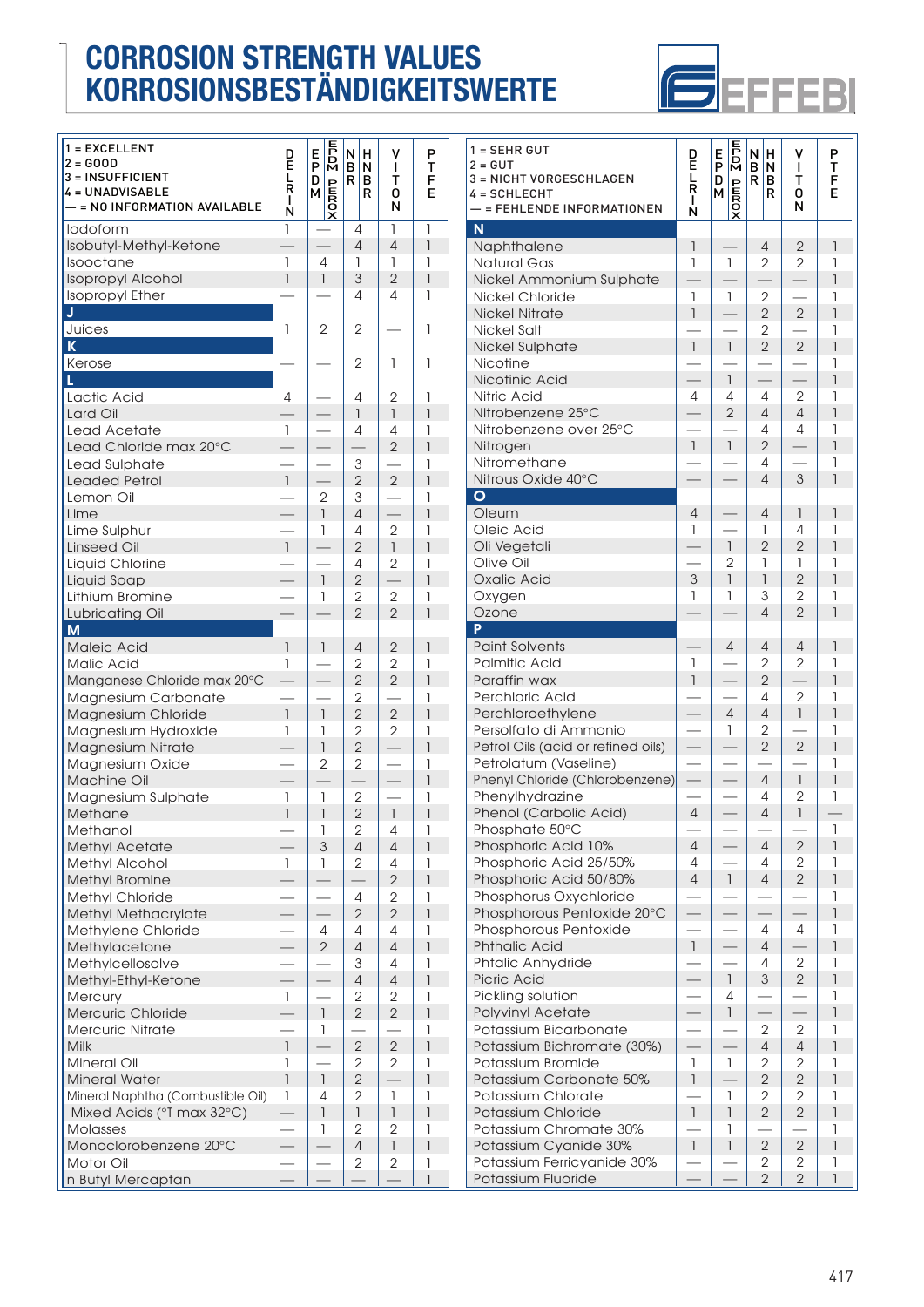

| $1 = EXCELLENT$                   |                          |                          |                |                |                          | $1 =$          |
|-----------------------------------|--------------------------|--------------------------|----------------|----------------|--------------------------|----------------|
| $2 = GOOD$                        | D<br>Ĕ                   | <b>ADDE</b><br>E<br>P    | N<br>Н         | V              | P                        | $2 =$          |
| 3 = INSUFFICIENT                  | L                        |                          | B<br>N         | L              | т                        |                |
| <b>4 = UNADVISABLE</b>            | R                        | D                        | R<br>в         | т              | F                        | $3 =$          |
|                                   | $\mathbf{I}$             | М                        | R              | 0              | E                        | 4 =            |
| - = NO INFORMATION AVAILABLE      | N                        | <b>XOZIND</b>            |                | N              |                          |                |
| lodoform                          | 1                        |                          | 4              | $\mathbf{I}$   | 1                        | N              |
| Isobutyl-Methyl-Ketone            |                          |                          | $\overline{4}$ | $\overline{4}$ | $\overline{1}$           |                |
|                                   |                          |                          |                |                |                          | N              |
| Isooctane                         | 1                        | 4                        | 1              | 1              | 1                        | N              |
| <b>Isopropyl Alcohol</b>          | $\overline{1}$           | $\mathsf{I}$             | 3              | $\overline{2}$ | $\overline{\phantom{a}}$ | Ni             |
| <b>Isopropyl Ether</b>            |                          |                          | 4              | 4              | 1                        | Ni             |
| J                                 |                          |                          |                |                |                          | Ni             |
| Juices                            | 1                        | $\overline{2}$           | $\mathbf{2}$   |                | 1                        | Ni             |
|                                   |                          |                          |                |                |                          |                |
| K                                 |                          |                          |                |                |                          | Ni             |
| Kerose                            |                          |                          | 2              | 1              | 1                        | Ni             |
| L.                                |                          |                          |                |                |                          | Ni             |
| Lactic Acid                       | 4                        |                          | 4              | $\overline{2}$ | 1                        | Ni             |
| Lard Oil                          |                          |                          | $\mathbf{1}$   | $\mathbf{1}$   | $\mathsf{I}$             | Ni             |
|                                   | 1                        |                          |                |                | 1                        | Ni             |
| Lead Acetate                      |                          |                          | 4              | 4              |                          |                |
| Lead Chloride max 20°C            |                          |                          |                | $\overline{2}$ | $\overline{1}$           | Ni             |
| Lead Sulphate                     |                          |                          | 3              |                | 1                        | Ni             |
| <b>Leaded Petrol</b>              | $\mathbf{I}$             |                          | $\overline{2}$ | $\overline{2}$ | $\overline{1}$           | Ni             |
| Lemon Oil                         |                          | 2                        | 3              |                | 1                        | $\circ$        |
| Lime                              |                          | 1                        | $\overline{4}$ |                | 1                        | $\circ$        |
|                                   |                          |                          |                |                |                          |                |
| Lime Sulphur                      |                          | 1                        | 4              | $\overline{2}$ | 1                        | $\circ$        |
| <b>Linseed Oil</b>                | $\mathbf{1}$             |                          | $\overline{2}$ | $\mathbf{I}$   | $\overline{1}$           | $\circ$        |
| Liquid Chlorine                   |                          |                          | 4              | $\mathbf{2}$   | 1                        | О              |
| Liquid Soap                       |                          | $\mathsf{I}$             | $\overline{2}$ |                | $\overline{1}$           | $\circ$        |
| Lithium Bromine                   |                          | 1                        | $\mathbf{2}$   | 2              | 1                        | О              |
| Lubricating Oil                   |                          |                          | $\overline{2}$ | $\overline{2}$ | $\overline{1}$           | $\circ$        |
|                                   |                          |                          |                |                |                          | P              |
| M                                 |                          |                          |                |                |                          |                |
| Maleic Acid                       | $\mathbf{1}$             | $\overline{\phantom{a}}$ | 4              | $\mathbf{2}$   | $\overline{\phantom{a}}$ | P <sub>0</sub> |
| <b>Malic Acid</b>                 | 1                        |                          | $\overline{2}$ | $\overline{2}$ | 1                        | P              |
| Manganese Chloride max 20°C       |                          |                          | $\overline{2}$ | $\overline{2}$ | $\overline{1}$           | P <sub>c</sub> |
| Magnesium Carbonate               |                          |                          | $\overline{2}$ |                | 1                        | Pε             |
| Magnesium Chloride                | $\overline{\phantom{a}}$ | $\overline{\phantom{a}}$ | $\overline{2}$ | $\overline{2}$ | $\overline{1}$           | P <sub>6</sub> |
|                                   |                          |                          | $\overline{2}$ |                |                          |                |
| Magnesium Hydroxide               | 1                        | 1                        |                | $\mathbf{2}$   | 1                        | Pε             |
| Magnesium Nitrate                 |                          | $\overline{1}$           | $\overline{2}$ |                | 1                        | Pε             |
| Magnesium Oxide                   |                          | $\mathbf{2}$             | $\mathbf{2}$   |                | 1                        | $P_6$          |
| Machine Oil                       |                          |                          |                |                | 1                        | Pr             |
| Magnesium Sulphate                | 1                        | 1                        | $\mathbf{2}$   |                | 1                        | Pł             |
| Methane                           | $\overline{1}$           | $\overline{\phantom{a}}$ | $\overline{2}$ | $\mathbf{I}$   | $\overline{1}$           | Pł             |
|                                   |                          |                          |                |                |                          |                |
| Methanol                          |                          | 1                        | 2              | 4              | 1                        | Pł             |
| <b>Methyl Acetate</b>             |                          | 3                        | $\overline{4}$ | $\overline{4}$ | $\overline{1}$           | Pł             |
| Methyl Alcohol                    | 1                        | 1                        | 2              | 4              | 1                        | Pł             |
| <b>Methyl Bromine</b>             |                          |                          |                | $\overline{2}$ | $\overline{1}$           | Pł             |
| Methyl Chloride                   |                          |                          | 4              | 2              | 1                        | Pł             |
| <b>Methyl Methacrylate</b>        |                          |                          | $\overline{2}$ | $\overline{2}$ | 1                        | Pł             |
|                                   |                          |                          |                |                |                          | Pł             |
| Methylene Chloride                |                          | 4                        | 4              | 4              | 1                        |                |
| Methylacetone                     |                          | $\overline{2}$           | 4              | 4              | 1                        | Pł             |
| Methylcellosolve                  |                          |                          | 3              | 4              | 1                        | Pł             |
| Methyl-Ethyl-Ketone               |                          |                          | 4              | $\overline{4}$ | 1                        | Pi             |
| <b>Mercury</b>                    | 1                        |                          | 2              | 2              | 1                        | Pi             |
| Mercuric Chloride                 |                          | 1                        | $\overline{2}$ | $\overline{2}$ | 1                        | P              |
|                                   |                          |                          |                |                |                          |                |
| <b>Mercuric Nitrate</b>           |                          | 1                        |                |                | 1                        | Ρo             |
| Milk                              | $\mathbf{1}$             |                          | $\overline{2}$ | $\mathbf{2}$   | $\mathsf{I}$             | P              |
| <b>Mineral Oil</b>                | 1                        |                          | 2              | 2              | 1                        | Ρo             |
| <b>Mineral Water</b>              | $\overline{\phantom{a}}$ | $\mathbf{1}$             | $\mathbf{2}$   |                | $\overline{\phantom{a}}$ | P              |
| Mineral Naphtha (Combustible Oil) | 1                        | 4                        | 2              | 1              | 1                        | Ρo             |
| Mixed Acids (°T max 32°C)         |                          | 1                        | $\overline{1}$ | $\overline{1}$ | 1                        | P              |
| <b>Molasses</b>                   | $\overline{\phantom{0}}$ | 1                        | $\overline{2}$ | 2              | 1                        |                |
|                                   |                          |                          |                |                |                          | Ρo             |
| Monoclorobenzene 20°C             |                          |                          | 4              | 1              | 1                        | P              |
| Motor Oil                         |                          |                          | $\overline{2}$ | $\overline{2}$ | 1                        | P              |

| 1 = EXCELLENT<br>2 = GOOD<br><b>3 = INSUFFICIENT</b><br>4 = UNADVISABLE | D<br>E<br>L<br>Ŕ<br>L    | <b>ADD</b><br>E<br>P<br>D<br><b>AOZILD</b><br>M | N<br>н<br>$\mathbf{B}$<br>N<br>R<br>B<br>R | ٧<br>L<br>T<br>0         | P<br>T<br>F<br>E | $1 = SEHR GUT$<br>$2 = GUT$<br>3 = NICHT VORGESCHLAGEN<br>4 = SCHLECHT | D<br>E<br>L<br>R<br>$\mathbf{I}$ | 207 <sub>m</sub><br>Е<br>$\bar{P}$<br>D<br><b>ADAM</b><br>M | N∣H<br>B N<br>R B<br>R    | ۷<br>$\mathbf{I}$<br>T<br>0 | P<br>T<br>F<br>E |
|-------------------------------------------------------------------------|--------------------------|-------------------------------------------------|--------------------------------------------|--------------------------|------------------|------------------------------------------------------------------------|----------------------------------|-------------------------------------------------------------|---------------------------|-----------------------------|------------------|
| — = NO INFORMATION AVAILABLE                                            | N                        |                                                 |                                            | N                        |                  | - = FEHLENDE INFORMATIONEN                                             | N                                |                                                             |                           | N                           |                  |
| lodoform                                                                | $\mathbf{1}$             |                                                 | 4                                          | 1                        | $\mathbf{1}$     | N                                                                      |                                  |                                                             |                           |                             |                  |
| Isobutyl-Methyl-Ketone                                                  |                          |                                                 | $\overline{4}$                             | 4                        | 1                | Naphthalene                                                            | $\mathbf{1}$                     |                                                             | $\overline{4}$            | $\overline{2}$              |                  |
| Isooctane                                                               | $\mathbf{1}$             | $\overline{4}$                                  | 1                                          | 1                        | 1                | <b>Natural Gas</b>                                                     | 1                                | $\mathbf{1}$                                                | $\overline{2}$            | $\overline{2}$              |                  |
| <b>Isopropyl Alcohol</b>                                                | $\mathbf{1}$             | $\mathbf{1}$                                    | 3                                          | $\overline{2}$           | $\mathbf{1}$     | Nickel Ammonium Sulphate                                               |                                  |                                                             |                           |                             |                  |
| <b>Isopropyl Ether</b>                                                  |                          |                                                 | 4                                          | 4                        | 1                | <b>Nickel Chloride</b>                                                 | 1                                | $\mathbf{1}$                                                | $\overline{2}$            |                             |                  |
|                                                                         |                          |                                                 |                                            |                          |                  | <b>Nickel Nitrate</b>                                                  | $\overline{\phantom{a}}$         |                                                             | $\overline{2}$            | $\overline{2}$              |                  |
| Juices                                                                  | 1                        | $\mathbf{2}$                                    | 2                                          |                          | 1                | Nickel Salt                                                            |                                  |                                                             | $\mathbf{2}$              |                             |                  |
| К                                                                       |                          |                                                 |                                            |                          |                  | <b>Nickel Sulphate</b>                                                 | $\mathbf{1}$                     | $\mathbf{I}$                                                | $\overline{2}$            | $\overline{2}$              |                  |
| Kerose                                                                  |                          |                                                 | 2                                          | 1                        | 1                | <b>Nicotine</b>                                                        |                                  |                                                             |                           |                             |                  |
|                                                                         |                          |                                                 |                                            |                          |                  | Nicotinic Acid                                                         |                                  | $\mathbf{1}$                                                |                           |                             |                  |
| Lactic Acid                                                             | 4                        | $\overline{\phantom{0}}$                        | 4                                          | 2                        | 1                | <b>Nitric Acid</b>                                                     | 4                                | 4                                                           | 4                         | $\overline{2}$              |                  |
| Lard Oil                                                                |                          |                                                 | 1                                          | $\mathbf{1}$             | $\mathsf{I}$     | Nitrobenzene 25°C                                                      |                                  | $\overline{2}$                                              | $\overline{4}$            | $\overline{4}$              |                  |
| Lead Acetate                                                            | $\mathbf{1}$             |                                                 | 4                                          | 4                        | 1                | Nitrobenzene over 25°C                                                 |                                  |                                                             | 4                         | 4                           |                  |
| Lead Chloride max 20°C                                                  |                          |                                                 |                                            | $\overline{2}$           | $\mathbf{1}$     | Nitrogen                                                               | $\mathbf{1}$                     | $\mathsf{I}$                                                | $\overline{2}$            |                             |                  |
| Lead Sulphate                                                           |                          |                                                 | 3                                          |                          | 1                | Nitromethane                                                           |                                  |                                                             | 4                         |                             |                  |
| <b>Leaded Petrol</b>                                                    | $\mathbf{1}$             |                                                 | $\overline{2}$                             | 2                        | $\mathbf{I}$     | Nitrous Oxide 40°C                                                     |                                  |                                                             | 4                         | 3                           |                  |
| Lemon Oil                                                               |                          | $\mathbf{2}$                                    | 3                                          |                          | 1                | $\mathbf{o}$                                                           |                                  |                                                             |                           |                             |                  |
| Lime                                                                    |                          | $\mathbf{1}$                                    | $\overline{4}$                             |                          | $\mathbf{I}$     | Oleum                                                                  | 4                                |                                                             | $\overline{4}$            | $\mathbf{1}$                |                  |
| Lime Sulphur                                                            |                          | $\mathbf{1}$                                    | 4                                          | $\mathbf{2}$             | $\mathbf{1}$     | Oleic Acid                                                             | 1                                |                                                             | 1                         | 4                           |                  |
| <b>Linseed Oil</b>                                                      | $\overline{1}$           |                                                 | $\overline{2}$                             | $\mathbf{1}$             | $\mathbf{1}$     | Oli Vegetali                                                           |                                  | 1                                                           | $\overline{2}$            | $\overline{2}$              |                  |
| Liquid Chlorine                                                         |                          |                                                 | 4                                          | 2                        | 1                | Olive Oil                                                              |                                  | $\overline{2}$                                              | 1                         | 1                           |                  |
| Liquid Soap                                                             |                          | $\mathbf{1}$                                    | $\overline{2}$                             |                          | $\mathbf{1}$     | Oxalic Acid                                                            | 3                                | ı                                                           | $\mathbf{1}$              | $\overline{2}$              |                  |
| Lithium Bromine                                                         |                          | 1                                               | $\mathbf{2}$                               | $\overline{2}$           | 1                | Oxygen                                                                 | 1                                | 1                                                           | 3                         | $\overline{2}$              |                  |
| Lubricating Oil                                                         |                          |                                                 | $\overline{2}$                             | $\overline{2}$           | $\mathbf{1}$     | Ozone                                                                  |                                  |                                                             | $\overline{4}$            | $\overline{2}$              |                  |
| М                                                                       |                          |                                                 |                                            |                          |                  | P                                                                      |                                  |                                                             |                           |                             |                  |
| <b>Maleic Acid</b>                                                      |                          | $\mathbf{1}$                                    | $\overline{4}$                             | $\overline{2}$           | $\mathbf{1}$     | <b>Paint Solvents</b>                                                  |                                  | $\overline{4}$                                              | 4                         | $\overline{4}$              |                  |
| <b>Malic Acid</b>                                                       | $\mathbf{1}$             |                                                 | $\overline{2}$                             | $\overline{2}$           | 1                | <b>Palmitic Acid</b>                                                   | 1                                |                                                             | $\mathbf{2}$              | $\overline{2}$              |                  |
| Manganese Chloride max 20°C                                             | $\qquad \qquad -$        |                                                 | $\overline{2}$                             | $\overline{2}$           | $\mathbf{1}$     | Paraffin wax                                                           | $\mathbf{1}$                     |                                                             | $\mathbf{2}$              |                             |                  |
| Magnesium Carbonate                                                     |                          |                                                 | $\mathbf{2}$                               |                          | 1                | Perchloric Acid                                                        |                                  |                                                             | 4                         | $\overline{2}$              |                  |
| Magnesium Chloride                                                      | $\mathbf{1}$             | $\overline{\phantom{a}}$                        | $\overline{2}$                             | $\overline{2}$           | $\mathbf{1}$     | Perchloroethylene                                                      |                                  | $\overline{4}$                                              | $\overline{4}$            | $\mathbf{1}$                |                  |
| Magnesium Hydroxide                                                     | $\mathbf{1}$             | 1                                               | $\mathbf{2}$                               | $\mathbf{2}$             | 1                | Persolfato di Ammonio                                                  |                                  |                                                             | $\mathbf{2}$              |                             |                  |
| Magnesium Nitrate                                                       |                          | $\mathbf{1}$                                    | $\overline{2}$                             |                          | $\mathbf{1}$     | Petrol Oils (acid or refined oils)                                     | $\overline{\phantom{0}}$         |                                                             | $\overline{2}$            | $\overline{2}$              |                  |
| Magnesium Oxide                                                         |                          | $\mathbf{2}$                                    | $\overline{2}$                             |                          | 1                | Petrolatum (Vaseline)                                                  |                                  |                                                             |                           |                             |                  |
| Machine Oil                                                             |                          |                                                 |                                            |                          | $\mathbf{1}$     | Phenyl Chloride (Chlorobenzene)                                        |                                  |                                                             | $\overline{4}$            | $\mathbf{1}$                |                  |
| Magnesium Sulphate                                                      | -1                       | 1                                               | $\mathbf{2}$                               | $\overline{\phantom{0}}$ | 1                | Phenylhydrazine                                                        |                                  |                                                             | 4                         | $\overline{2}$              |                  |
| <b>Methane</b>                                                          | $\mathbf{1}$             | $\mathbf{1}$                                    | $\mathbf{2}$                               | $\mathbf{1}$             | $\mathsf{I}$     | Phenol (Carbolic Acid)                                                 | $\overline{4}$                   |                                                             | 4                         | 1                           |                  |
| Methanol                                                                |                          | 1                                               | 2                                          | 4                        | 1                | Phosphate 50°C                                                         |                                  |                                                             |                           |                             | 1                |
| Methyl Acetate                                                          |                          | 3                                               | $\overline{4}$                             | $\overline{4}$           | $\mathbf{1}$     | Phosphoric Acid 10%                                                    | $\overline{4}$                   |                                                             | $\overline{4}$            | $\mathbf{2}$                | 1                |
| Methyl Alcohol                                                          | 1                        | 1                                               | $\mathbf{2}$                               | 4                        | 1                | Phosphoric Acid 25/50%                                                 | 4                                | $\overline{\phantom{0}}$                                    | 4                         | 2                           | 1                |
| Methyl Bromine                                                          |                          |                                                 |                                            | $\overline{2}$           | $\mathbf{1}$     | Phosphoric Acid 50/80%                                                 | $\overline{4}$                   | $\mathbf{1}$                                                | $\overline{4}$            | $\overline{2}$              |                  |
| Methyl Chloride                                                         |                          | $\overline{\phantom{0}}$                        | $\overline{4}$                             | $\mathbf{2}$             | 1                | Phosphorus Oxychloride                                                 |                                  |                                                             |                           |                             | 1                |
| Methyl Methacrylate                                                     |                          |                                                 | $\overline{2}$                             | $\overline{2}$           | $\mathbf{1}$     | Phosphorous Pentoxide 20°C                                             |                                  |                                                             |                           |                             |                  |
| Methylene Chloride                                                      |                          | $\overline{4}$                                  | 4                                          | 4                        | 1                | Phosphorous Pentoxide                                                  |                                  |                                                             | 4                         | 4                           | 1                |
| Methylacetone                                                           |                          | $\mathbf{2}$                                    | $\overline{4}$                             | 4                        | $\mathbf{1}$     | <b>Phthalic Acid</b>                                                   | $\overline{1}$                   |                                                             | $\sqrt{4}$                |                             | 1                |
| Methylcellosolve                                                        |                          |                                                 | 3                                          | 4                        | 1                | Phtalic Anhydride                                                      |                                  |                                                             | 4                         | 2                           | 1                |
| Methyl-Ethyl-Ketone                                                     |                          |                                                 | $\overline{4}$                             | 4                        | $\mathsf{I}$     | Picric Acid                                                            |                                  | $\mathbf{I}$                                                | $\ensuremath{\mathsf{3}}$ | $\overline{2}$              |                  |
| Mercury                                                                 | $\mathbf{1}$             | —                                               | 2                                          | 2                        | 1                | Pickling solution                                                      |                                  | 4                                                           |                           |                             | 1                |
| Mercuric Chloride                                                       |                          | $\mathbf{1}$                                    | $\overline{2}$                             | $\overline{2}$           | $\mathbf{1}$     | <b>Polyvinyl Acetate</b>                                               |                                  | $\mathbf{1}$                                                |                           |                             | 1                |
| <b>Mercuric Nitrate</b>                                                 |                          | 1                                               |                                            | —                        | 1                | Potassium Bicarbonate                                                  | $\hspace{0.05cm}$                |                                                             | $\overline{2}$            | $\overline{2}$              | 1                |
| <b>Milk</b>                                                             | 1                        |                                                 | $\overline{2}$                             | $\overline{2}$           | $\mathbf{1}$     | Potassium Bichromate (30%)                                             |                                  |                                                             | 4                         | $\overline{4}$              | 1                |
| <b>Mineral Oil</b>                                                      | -1                       | —                                               | 2                                          | $\mathbf{2}$             | 1                | Potassium Bromide                                                      | 1                                | 1                                                           | 2                         | $\mathbf{2}$                | 1                |
| <b>Mineral Water</b>                                                    | $\overline{1}$           | $\mathbb{I}$                                    | $\mathbf{2}$                               |                          | $\mathbf{1}$     | Potassium Carbonate 50%                                                | $\mathbb{I}$                     |                                                             | $\mathbf{2}$              | $\mathbf{2}$                | 1                |
| Mineral Naphtha (Combustible Oil)                                       | $\mathbf{1}$             | 4                                               | 2                                          | 1                        | 1                | Potassium Chlorate                                                     | $\overline{\phantom{0}}$         | 1                                                           | $\mathbf{2}$              | $\mathbf{2}$                | 1                |
| Mixed Acids (°T max 32°C)                                               | $\overline{\phantom{m}}$ | $\mathbb{I}$                                    | 1                                          | 1                        | 1                | Potassium Chloride                                                     | $\mathbf{1}$                     |                                                             | $\overline{2}$            | $\overline{2}$              |                  |
| Molasses                                                                |                          | 1                                               | $\mathbf{2}$                               | $\mathbf{2}$             | 1                | Potassium Chromate 30%                                                 |                                  | 1                                                           |                           |                             | 1                |
| Monoclorobenzene 20°C                                                   |                          |                                                 | $\overline{4}$                             | $\overline{1}$           | $\mathbf{1}$     | Potassium Cyanide 30%                                                  | $\mathbf{1}$                     | 1                                                           | $\overline{2}$            | $\overline{2}$              | 1                |
| Motor Oil                                                               |                          | $\overline{\phantom{0}}$                        | 2                                          | 2                        | 1                | Potassium Ferricyanide 30%                                             |                                  |                                                             | 2                         | 2                           | 1                |
| n Butyl Mercaptan                                                       |                          |                                                 |                                            |                          |                  | Potassium Fluoride                                                     |                                  |                                                             | $\overline{2}$            | $\overline{2}$              |                  |